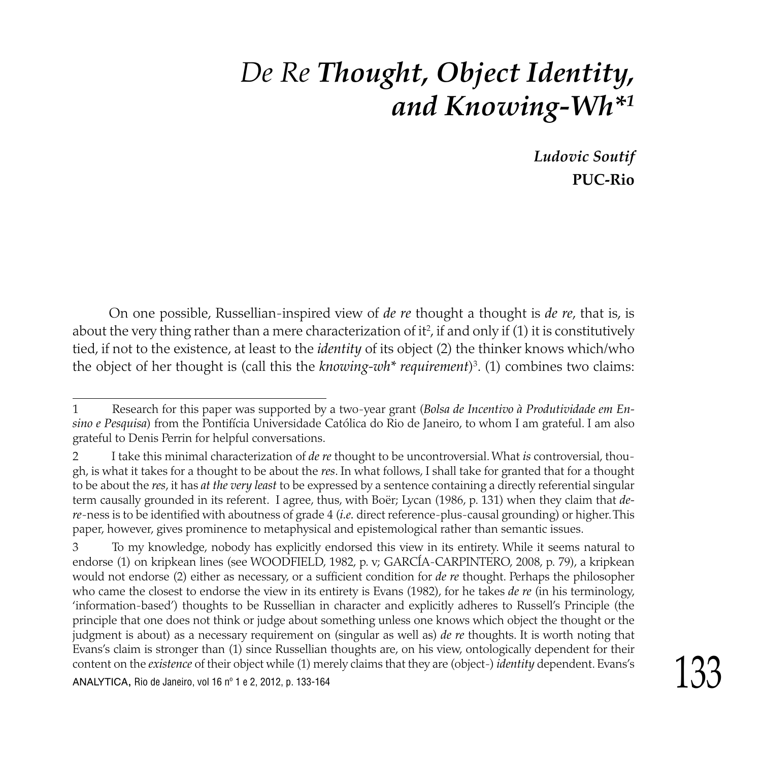# *De Re Thought, Object Identity, and Knowing-Wh\**

*Ludovic Soutif*  **PUC-Rio**

On one possible, Russellian-inspired view of *de re* thought a thought is *de re*, that is, is about the very thing rather than a mere characterization of it<sup>2</sup>, if and only if (1) it is constitutively tied, if not to the existence, at least to the *identity* of its object (2) the thinker knows which/who the object of her thought is (call this the *knowing-wh\* requirement*) . (1) combines two claims:

Research for this paper was supported by a two-year grant (*Bolsa de Incentivo à Produtividade em En-* $\mathbf{1}$ *sino e Pesquisa*) from the Pontifícia Universidade Católica do Rio de Janeiro, to whom I am grateful. I am also grateful to Denis Perrin for helpful conversations.

I take this minimal characterization of *de re* thought to be uncontroversial. What *is* controversial, though, is what it takes for a thought to be about the *res*. In what follows, I shall take for granted that for a thought to be about the *res*, it has *at the very least* to be expressed by a sentence containing a directly referential singular term causally grounded in its referent. I agree, thus, with Boër; Lycan (1986, p. 131) when they claim that *dere*-ness is to be identified with aboutness of grade 4 (*i.e.* direct reference-plus-causal grounding) or higher. This paper, however, gives prominence to metaphysical and epistemological rather than semantic issues.

content on the *existence* of their object while (1) merely claims that they are (object-) *identity* dependent. Evans's<br>ANALYTICA, Rio de Janeiro, vol 16 nº 1 e 2, 2012, p. 133-164 To my knowledge, nobody has explicitly endorsed this view in its entirety. While it seems natural to endorse (1) on kripkean lines (see WOODFIELD, 1982, p. v; GARCÍA-CARPINTERO, 2008, p. 79), a kripkean would not endorse (2) either as necessary, or a sufficient condition for *de re* thought. Perhaps the philosopher who came the closest to endorse the view in its entirety is Evans (1982), for he takes *de re* (in his terminology, 'information-based') thoughts to be Russellian in character and explicitly adheres to Russell's Principle (the principle that one does not think or judge about something unless one knows which object the thought or the judgment is about) as a necessary requirement on (singular as well as) *de re* thoughts. It is worth noting that Evans's claim is stronger than (1) since Russellian thoughts are, on his view, ontologically dependent for their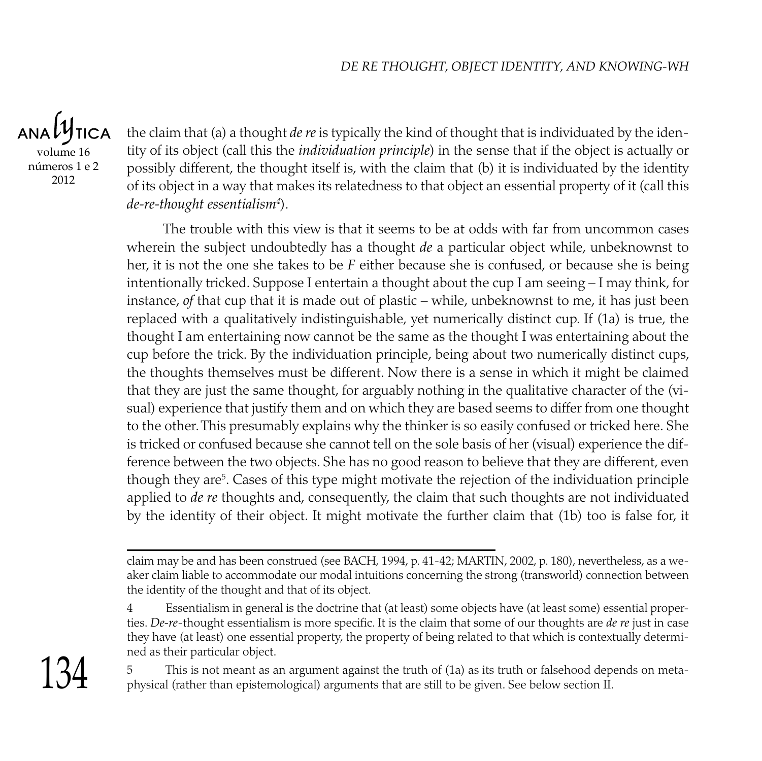**TICA** volume 16 números 1 e 2 2012

the claim that (a) a thought *de re* is typically the kind of thought that is individuated by the identity of its object (call this the *individuation principle*) in the sense that if the object is actually or possibly different, the thought itself is, with the claim that (b) it is individuated by the identity of its object in a way that makes its relatedness to that object an essential property of it (call this *de-re-thought essentialism* ).

The trouble with this view is that it seems to be at odds with far from uncommon cases wherein the subject undoubtedly has a thought *de* a particular object while, unbeknownst to her, it is not the one she takes to be *F* either because she is confused, or because she is being intentionally tricked. Suppose I entertain a thought about the cup I am seeing – I may think, for instance, *of* that cup that it is made out of plastic – while, unbeknownst to me, it has just been replaced with a qualitatively indistinguishable, yet numerically distinct cup. If (1a) is true, the thought I am entertaining now cannot be the same as the thought I was entertaining about the cup before the trick. By the individuation principle, being about two numerically distinct cups, the thoughts themselves must be different. Now there is a sense in which it might be claimed that they are just the same thought, for arguably nothing in the qualitative character of the (visual) experience that justify them and on which they are based seems to differ from one thought to the other. This presumably explains why the thinker is so easily confused or tricked here. She is tricked or confused because she cannot tell on the sole basis of her (visual) experience the difference between the two objects. She has no good reason to believe that they are different, even though they are . Cases of this type might motivate the rejection of the individuation principle applied to *de re* thoughts and, consequently, the claim that such thoughts are not individuated by the identity of their object. It might motivate the further claim that (1b) too is false for, it

134

claim may be and has been construed (see BACH, 1994, p. 41-42; MARTIN, 2002, p. 180), nevertheless, as a weaker claim liable to accommodate our modal intuitions concerning the strong (transworld) connection between the identity of the thought and that of its object.

<sup>4</sup> Essentialism in general is the doctrine that (at least) some objects have (at least some) essential properties. *De-re*-thought essentialism is more specific. It is the claim that some of our thoughts are *de re* just in case they have (at least) one essential property, the property of being related to that which is contextually determined as their particular object.

This is not meant as an argument against the truth of (1a) as its truth or falsehood depends on metaphysical (rather than epistemological) arguments that are still to be given. See below section II.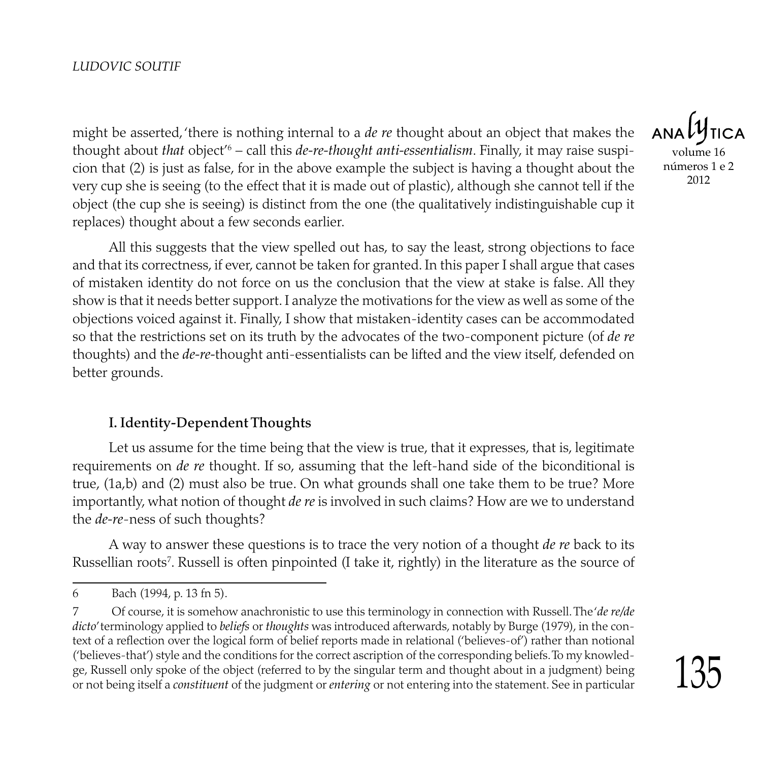might be asserted, 'there is nothing internal to a *de re* thought about an object that makes the thought about *that* object<sup>'6</sup> – call this *de-re-thought anti-essentialism*. Finally, it may raise suspicion that (2) is just as false, for in the above example the subject is having a thought about the very cup she is seeing (to the effect that it is made out of plastic), although she cannot tell if the object (the cup she is seeing) is distinct from the one (the qualitatively indistinguishable cup it replaces) thought about a few seconds earlier.

All this suggests that the view spelled out has, to say the least, strong objections to face and that its correctness, if ever, cannot be taken for granted. In this paper I shall argue that cases of mistaken identity do not force on us the conclusion that the view at stake is false. All they show is that it needs better support. I analyze the motivations for the view as well as some of the objections voiced against it. Finally, I show that mistaken-identity cases can be accommodated so that the restrictions set on its truth by the advocates of the two-component picture (of *de re* thoughts) and the *de-re-*thought anti-essentialists can be lifted and the view itself, defended on better grounds.

#### I. Identity-Dependent Thoughts

Let us assume for the time being that the view is true, that it expresses, that is, legitimate requirements on *de re* thought. If so, assuming that the left-hand side of the biconditional is true, (1a,b) and (2) must also be true. On what grounds shall one take them to be true? More importantly, what notion of thought *de re* is involved in such claims? How are we to understand the *de-re*-ness of such thoughts?

A way to answer these questions is to trace the very notion of a thought *de re* back to its Russellian roots<sup>7</sup>. Russell is often pinpointed (I take it, rightly) in the literature as the source of

volume 16 números 1 e 2 2012

 $\overline{6}$ Bach (1994, p. 13 fn 5).

<sup>7</sup>  Of course, it is somehow anachronistic to use this terminology in connection with Russell. The '*de re/de dicto*' terminology applied to *beliefs* or *thoughts* was introduced afterwards, notably by Burge (1979), in the context of a reflection over the logical form of belief reports made in relational ('believes-of') rather than notional ('believes-that') style and the conditions for the correct ascription of the corresponding beliefs. To my knowledge, Russell only spoke of the object (referred to by the singular term and thought about in a judgment) being or not being itself a *constituent* of the judgment or *entering* or not entering into the statement. See in particular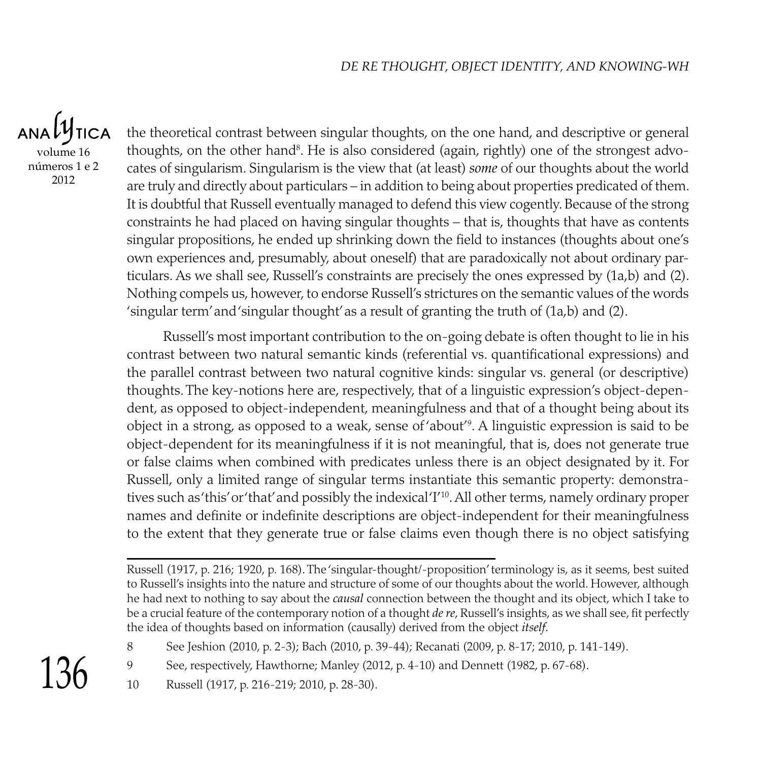ANALY **TICA** volume 16 números 1 e 2 2012

the theoretical contrast between singular thoughts, on the one hand, and descriptive or general thoughts, on the other hand<sup>8</sup>. He is also considered (again, rightly) one of the strongest advocates of singularism. Singularism is the view that (at least) *some* of our thoughts about the world are truly and directly about particulars – in addition to being about properties predicated of them. It is doubtful that Russell eventually managed to defend this view cogently. Because of the strong constraints he had placed on having singular thoughts – that is, thoughts that have as contents singular propositions, he ended up shrinking down the field to instances (thoughts about one's own experiences and, presumably, about oneself) that are paradoxically not about ordinary particulars. As we shall see, Russell's constraints are precisely the ones expressed by (1a,b) and (2). Nothing compels us, however, to endorse Russell's strictures on the semantic values of the words 'singular term' and 'singular thought' as a result of granting the truth of (1a,b) and (2).

Russell's most important contribution to the on-going debate is often thought to lie in his contrast between two natural semantic kinds (referential vs. quantificational expressions) and the parallel contrast between two natural cognitive kinds: singular vs. general (or descriptive) thoughts. The key-notions here are, respectively, that of a linguistic expression's object-dependent, as opposed to object-independent, meaningfulness and that of a thought being about its object in a strong, as opposed to a weak, sense of 'about'<sup>9</sup>. A linguistic expression is said to be object-dependent for its meaningfulness if it is not meaningful, that is, does not generate true or false claims when combined with predicates unless there is an object designated by it. For Russell, only a limited range of singular terms instantiate this semantic property: demonstratives such as 'this' or 'that' and possibly the indexical 'I'10. All other terms, namely ordinary proper names and definite or indefinite descriptions are object-independent for their meaningfulness to the extent that they generate true or false claims even though there is no object satisfying

10 Russell (1917, p. 216-219; 2010, p. 28-30).

 $136$ 

8

Russell (1917, p. 216; 1920, p. 168). The 'singular-thought/-proposition' terminology is, as it seems, best suited to Russell's insights into the nature and structure of some of our thoughts about the world. However, although he had next to nothing to say about the *causal* connection between the thought and its object, which I take to be a crucial feature of the contemporary notion of a thought *de re*, Russell's insights, as we shall see, fit perfectly the idea of thoughts based on information (causally) derived from the object *itself*.

See Jeshion (2010, p. 2-3); Bach (2010, p. 39-44); Recanati (2009, p. 8-17; 2010, p. 141-149).

<sup>9</sup> See, respectively, Hawthorne; Manley (2012, p. 4-10) and Dennett (1982, p. 67-68).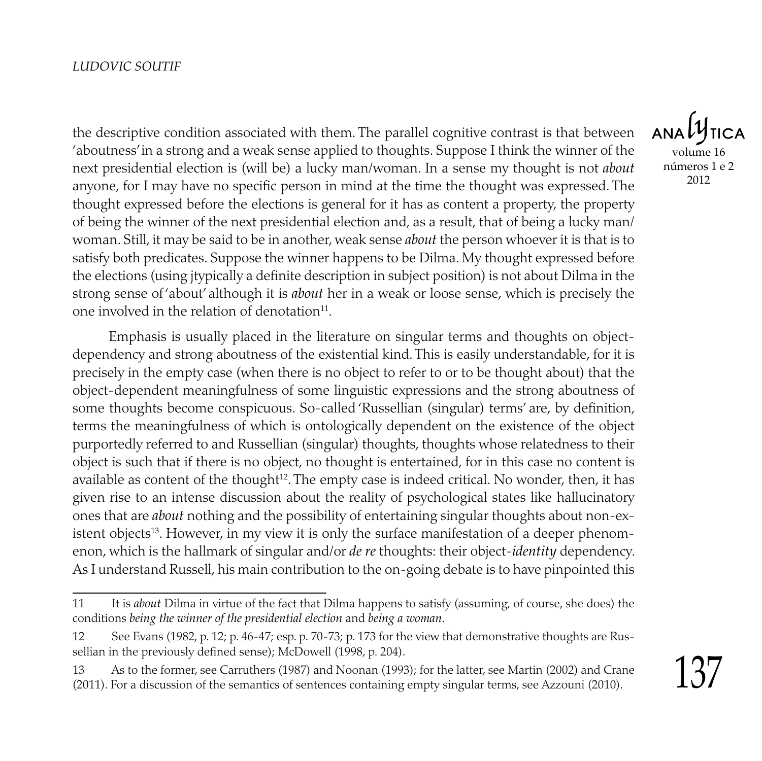the descriptive condition associated with them. The parallel cognitive contrast is that between 'aboutness' in a strong and a weak sense applied to thoughts. Suppose I think the winner of the next presidential election is (will be) a lucky man/woman. In a sense my thought is not *about* anyone, for I may have no specific person in mind at the time the thought was expressed. The thought expressed before the elections is general for it has as content a property, the property of being the winner of the next presidential election and, as a result, that of being a lucky man/ woman. Still, it may be said to be in another, weak sense *about* the person whoever it is that is to satisfy both predicates. Suppose the winner happens to be Dilma. My thought expressed before the elections (using jtypically a definite description in subject position) is not about Dilma in the strong sense of 'about' although it is *about* her in a weak or loose sense, which is precisely the one involved in the relation of denotation<sup>11</sup>.

Emphasis is usually placed in the literature on singular terms and thoughts on objectdependency and strong aboutness of the existential kind. This is easily understandable, for it is precisely in the empty case (when there is no object to refer to or to be thought about) that the object-dependent meaningfulness of some linguistic expressions and the strong aboutness of some thoughts become conspicuous. So-called 'Russellian (singular) terms' are, by definition, terms the meaningfulness of which is ontologically dependent on the existence of the object purportedly referred to and Russellian (singular) thoughts, thoughts whose relatedness to their object is such that if there is no object, no thought is entertained, for in this case no content is available as content of the thought $^{12}$ . The empty case is indeed critical. No wonder, then, it has given rise to an intense discussion about the reality of psychological states like hallucinatory ones that are *about* nothing and the possibility of entertaining singular thoughts about non-existent objects<sup>13</sup>. However, in my view it is only the surface manifestation of a deeper phenomenon, which is the hallmark of singular and/or *de re* thoughts: their object-*identity* dependency. As I understand Russell, his main contribution to the on-going debate is to have pinpointed this

volume 16 números 1 e 2 2012

<sup>11</sup> It is *about* Dilma in virtue of the fact that Dilma happens to satisfy (assuming, of course, she does) the conditions *being the winner of the presidential election* and *being a woman*.

<sup>12</sup> See Evans (1982, p. 12; p. 46-47; esp. p. 70-73; p. 173 for the view that demonstrative thoughts are Russellian in the previously defined sense); McDowell (1998, p. 204).

<sup>13</sup> As to the former, see Carruthers (1987) and Noonan (1993); for the latter, see Martin (2002) and Crane (2011). For a discussion of the semantics of sentences containing empty singular terms, see Azzouni (2010).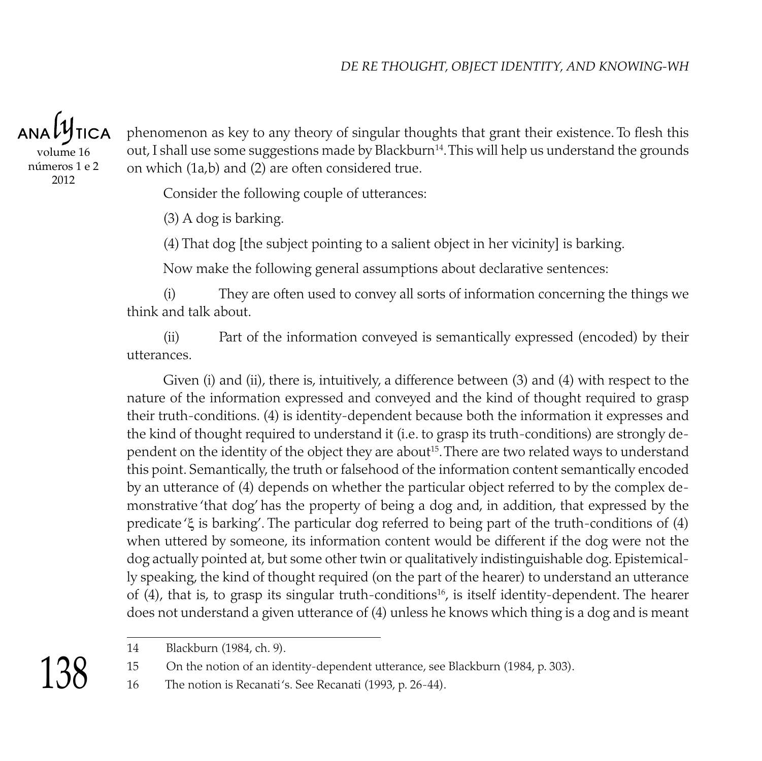ANALY **TICA** 

volume 16 números 1 e 2 2012

phenomenon as key to any theory of singular thoughts that grant their existence. To flesh this out, I shall use some suggestions made by Blackburn<sup>14</sup>. This will help us understand the grounds on which (1a,b) and (2) are often considered true.

Consider the following couple of utterances:

(3) A dog is barking.

(4) That dog [the subject pointing to a salient object in her vicinity] is barking.

Now make the following general assumptions about declarative sentences:

(i) They are often used to convey all sorts of information concerning the things we think and talk about.

(ii) Part of the information conveyed is semantically expressed (encoded) by their utterances.

Given (i) and (ii), there is, intuitively, a difference between (3) and (4) with respect to the nature of the information expressed and conveyed and the kind of thought required to grasp their truth-conditions. (4) is identity-dependent because both the information it expresses and the kind of thought required to understand it (i.e. to grasp its truth-conditions) are strongly dependent on the identity of the object they are about<sup>15</sup>. There are two related ways to understand this point. Semantically, the truth or falsehood of the information content semantically encoded by an utterance of (4) depends on whether the particular object referred to by the complex demonstrative 'that dog' has the property of being a dog and, in addition, that expressed by the predicate 'ξ is barking'. The particular dog referred to being part of the truth-conditions of (4) when uttered by someone, its information content would be different if the dog were not the dog actually pointed at, but some other twin or qualitatively indistinguishable dog. Epistemically speaking, the kind of thought required (on the part of the hearer) to understand an utterance of  $(4)$ , that is, to grasp its singular truth-conditions<sup>16</sup>, is itself identity-dependent. The hearer does not understand a given utterance of (4) unless he knows which thing is a dog and is meant

15 On the notion of an identity-dependent utterance, see Blackburn (1984, p. 303).

16 The notion is Recanati 's. See Recanati (1993, p. 26-44).

138

<sup>14</sup> Blackburn (1984, ch. 9).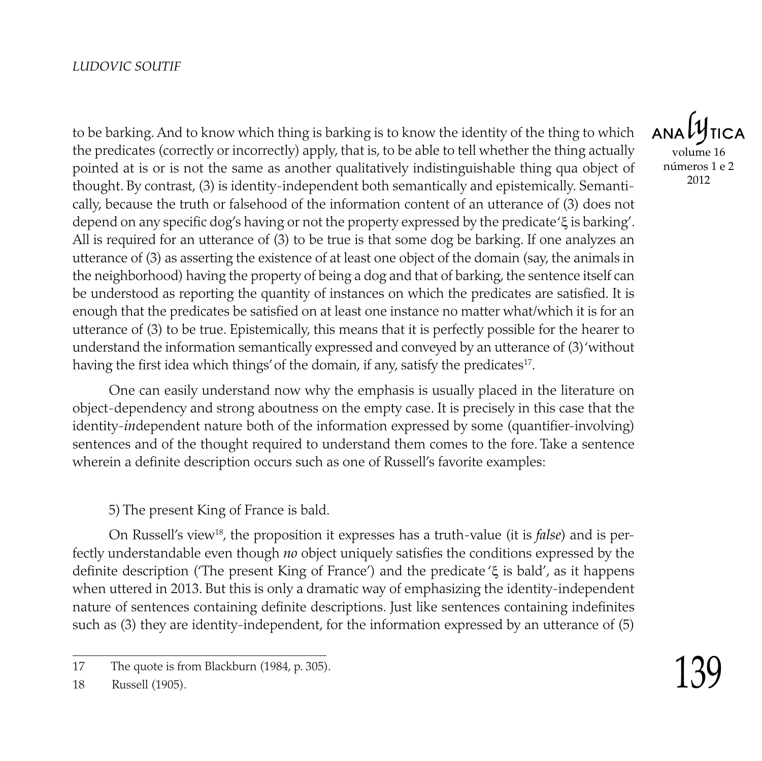to be barking. And to know which thing is barking is to know the identity of the thing to which the predicates (correctly or incorrectly) apply, that is, to be able to tell whether the thing actually pointed at is or is not the same as another qualitatively indistinguishable thing qua object of thought. By contrast, (3) is identity-independent both semantically and epistemically. Semantically, because the truth or falsehood of the information content of an utterance of (3) does not depend on any specific dog's having or not the property expressed by the predicate 'ξ is barking'. All is required for an utterance of (3) to be true is that some dog be barking. If one analyzes an utterance of (3) as asserting the existence of at least one object of the domain (say, the animals in the neighborhood) having the property of being a dog and that of barking, the sentence itself can be understood as reporting the quantity of instances on which the predicates are satisfied. It is enough that the predicates be satisfied on at least one instance no matter what/which it is for an utterance of (3) to be true. Epistemically, this means that it is perfectly possible for the hearer to understand the information semantically expressed and conveyed by an utterance of (3) 'without having the first idea which things' of the domain, if any, satisfy the predicates<sup>17</sup>.

One can easily understand now why the emphasis is usually placed in the literature on object-dependency and strong aboutness on the empty case. It is precisely in this case that the identity-*in*dependent nature both of the information expressed by some (quantifier-involving) sentences and of the thought required to understand them comes to the fore. Take a sentence wherein a definite description occurs such as one of Russell's favorite examples:

5) The present King of France is bald.

On Russell's view18, the proposition it expresses has a truth-value (it is *false*) and is perfectly understandable even though *no* object uniquely satisfies the conditions expressed by the definite description ('The present King of France') and the predicate 'ξ is bald', as it happens when uttered in 2013. But this is only a dramatic way of emphasizing the identity-independent nature of sentences containing definite descriptions. Just like sentences containing indefinites such as (3) they are identity-independent, for the information expressed by an utterance of (5)

 $ANDU$ volume 16 números 1 e 2 2012

<sup>17</sup> The quote is from Blackburn (1984, p. 305).

<sup>18</sup> Russell (1905).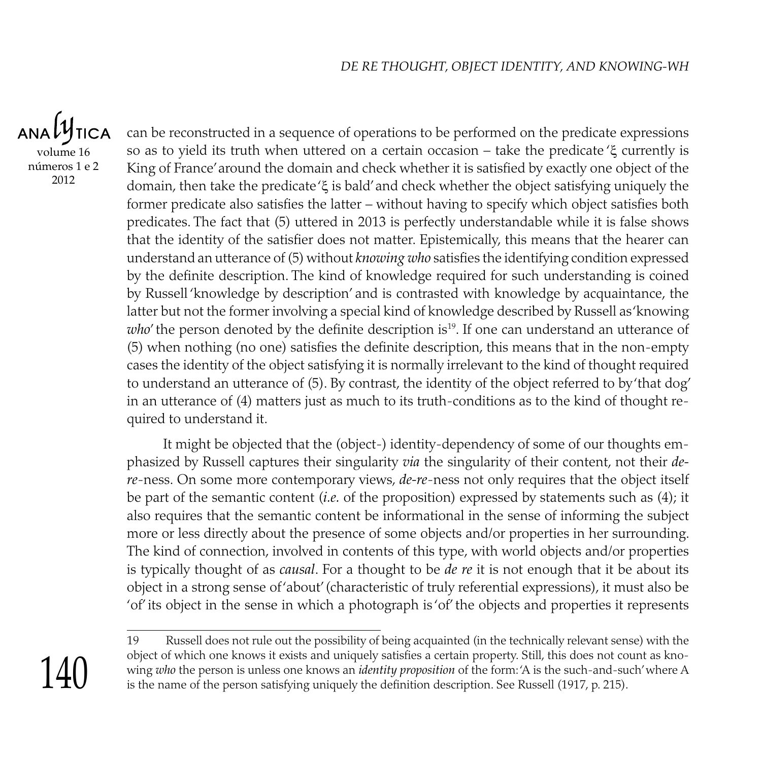**TICA** volume 16 números 1 e 2 2012

can be reconstructed in a sequence of operations to be performed on the predicate expressions so as to yield its truth when uttered on a certain occasion – take the predicate 'ξ currently is King of France' around the domain and check whether it is satisfied by exactly one object of the domain, then take the predicate 'ξ is bald' and check whether the object satisfying uniquely the former predicate also satisfies the latter – without having to specify which object satisfies both predicates. The fact that (5) uttered in 2013 is perfectly understandable while it is false shows that the identity of the satisfier does not matter. Epistemically, this means that the hearer can understand an utterance of (5) without *knowing who* satisfies the identifying condition expressed by the definite description. The kind of knowledge required for such understanding is coined by Russell 'knowledge by description' and is contrasted with knowledge by acquaintance, the latter but not the former involving a special kind of knowledge described by Russell as 'knowing *who*' the person denoted by the definite description is<sup>19</sup>. If one can understand an utterance of (5) when nothing (no one) satisfies the definite description, this means that in the non-empty cases the identity of the object satisfying it is normally irrelevant to the kind of thought required to understand an utterance of (5). By contrast, the identity of the object referred to by 'that dog' in an utterance of (4) matters just as much to its truth-conditions as to the kind of thought required to understand it.

It might be objected that the (object-) identity-dependency of some of our thoughts emphasized by Russell captures their singularity *via* the singularity of their content, not their *dere*-ness. On some more contemporary views, *de-re*-ness not only requires that the object itself be part of the semantic content (*i.e.* of the proposition) expressed by statements such as (4); it also requires that the semantic content be informational in the sense of informing the subject more or less directly about the presence of some objects and/or properties in her surrounding. The kind of connection, involved in contents of this type, with world objects and/or properties is typically thought of as *causal*. For a thought to be *de re* it is not enough that it be about its object in a strong sense of 'about' (characteristic of truly referential expressions), it must also be 'of' its object in the sense in which a photograph is 'of' the objects and properties it represents

19 Russell does not rule out the possibility of being acquainted (in the technically relevant sense) with the object of which one knows it exists and uniquely satisfies a certain property. Still, this does not count as knowing *who* the person is unless one knows an *identity proposition* of the form: 'A is the such-and-such' where A is the name of the person satisfying uniquely the definition description. See Russell (1917, p. 215).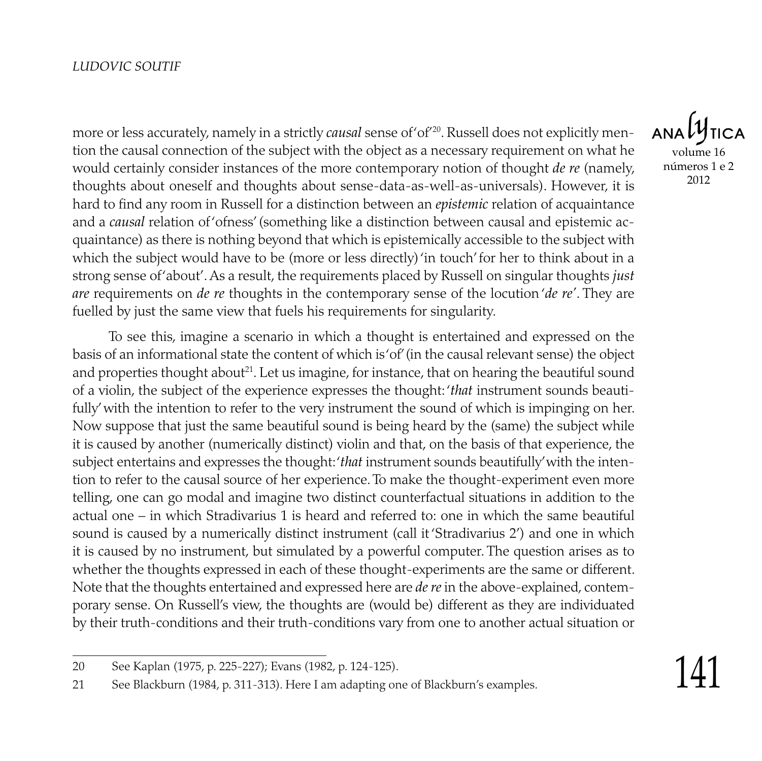more or less accurately, namely in a strictly *causal* sense of 'of'20 . Russell does not explicitly mention the causal connection of the subject with the object as a necessary requirement on what he would certainly consider instances of the more contemporary notion of thought *de re* (namely, thoughts about oneself and thoughts about sense-data-as-well-as-universals). However, it is hard to find any room in Russell for a distinction between an *epistemic* relation of acquaintance and a *causal* relation of 'ofness' (something like a distinction between causal and epistemic acquaintance) as there is nothing beyond that which is epistemically accessible to the subject with which the subject would have to be (more or less directly) 'in touch' for her to think about in a strong sense of 'about'. As a result, the requirements placed by Russell on singular thoughts *just are* requirements on *de re* thoughts in the contemporary sense of the locution '*de re'*. They are fuelled by just the same view that fuels his requirements for singularity.

To see this, imagine a scenario in which a thought is entertained and expressed on the basis of an informational state the content of which is 'of' (in the causal relevant sense) the object and properties thought about $^{21}$ . Let us imagine, for instance, that on hearing the beautiful sound of a violin, the subject of the experience expresses the thought: '*that* instrument sounds beautifully' with the intention to refer to the very instrument the sound of which is impinging on her. Now suppose that just the same beautiful sound is being heard by the (same) the subject while it is caused by another (numerically distinct) violin and that, on the basis of that experience, the subject entertains and expresses the thought: '*that* instrument sounds beautifully' with the intention to refer to the causal source of her experience. To make the thought-experiment even more telling, one can go modal and imagine two distinct counterfactual situations in addition to the actual one – in which Stradivarius 1 is heard and referred to: one in which the same beautiful sound is caused by a numerically distinct instrument (call it 'Stradivarius 2') and one in which it is caused by no instrument, but simulated by a powerful computer. The question arises as to whether the thoughts expressed in each of these thought-experiments are the same or different. Note that the thoughts entertained and expressed here are *de re* in the above-explained, contemporary sense. On Russell's view, the thoughts are (would be) different as they are individuated by their truth-conditions and their truth-conditions vary from one to another actual situation or

volume 16 números 1 e 2 2012

<sup>20</sup> See Kaplan (1975, p. 225-227); Evans (1982, p. 124-125).

<sup>21</sup> See Blackburn (1984, p. 311-313). Here I am adapting one of Blackburn's examples.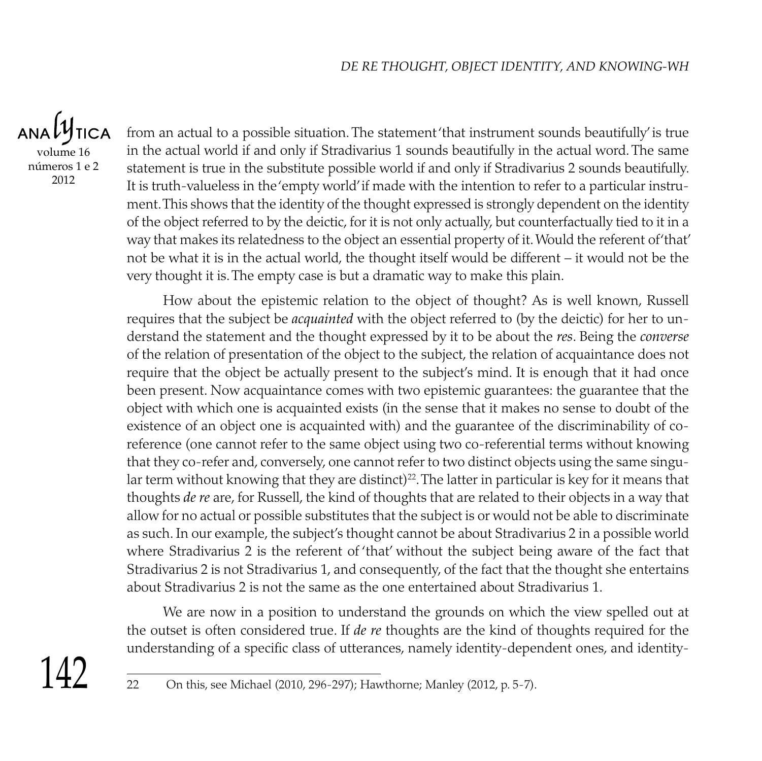ANALY **TICA** volume 16 números 1 e 2 2012

from an actual to a possible situation. The statement 'that instrument sounds beautifully' is true in the actual world if and only if Stradivarius 1 sounds beautifully in the actual word. The same statement is true in the substitute possible world if and only if Stradivarius 2 sounds beautifully. It is truth-valueless in the 'empty world' if made with the intention to refer to a particular instrument. This shows that the identity of the thought expressed is strongly dependent on the identity of the object referred to by the deictic, for it is not only actually, but counterfactually tied to it in a way that makes its relatedness to the object an essential property of it. Would the referent of 'that' not be what it is in the actual world, the thought itself would be different – it would not be the very thought it is. The empty case is but a dramatic way to make this plain.

How about the epistemic relation to the object of thought? As is well known, Russell requires that the subject be *acquainted* with the object referred to (by the deictic) for her to understand the statement and the thought expressed by it to be about the *res*. Being the *converse* of the relation of presentation of the object to the subject, the relation of acquaintance does not require that the object be actually present to the subject's mind. It is enough that it had once been present. Now acquaintance comes with two epistemic guarantees: the guarantee that the object with which one is acquainted exists (in the sense that it makes no sense to doubt of the existence of an object one is acquainted with) and the guarantee of the discriminability of coreference (one cannot refer to the same object using two co-referential terms without knowing that they co-refer and, conversely, one cannot refer to two distinct objects using the same singular term without knowing that they are distinct)<sup>22</sup>. The latter in particular is key for it means that thoughts *de re* are, for Russell, the kind of thoughts that are related to their objects in a way that allow for no actual or possible substitutes that the subject is or would not be able to discriminate as such. In our example, the subject's thought cannot be about Stradivarius 2 in a possible world where Stradivarius 2 is the referent of 'that' without the subject being aware of the fact that Stradivarius 2 is not Stradivarius 1, and consequently, of the fact that the thought she entertains about Stradivarius 2 is not the same as the one entertained about Stradivarius 1.

We are now in a position to understand the grounds on which the view spelled out at the outset is often considered true. If *de re* thoughts are the kind of thoughts required for the understanding of a specific class of utterances, namely identity-dependent ones, and identity-



<sup>22</sup> On this, see Michael (2010, 296-297); Hawthorne; Manley (2012, p. 5-7).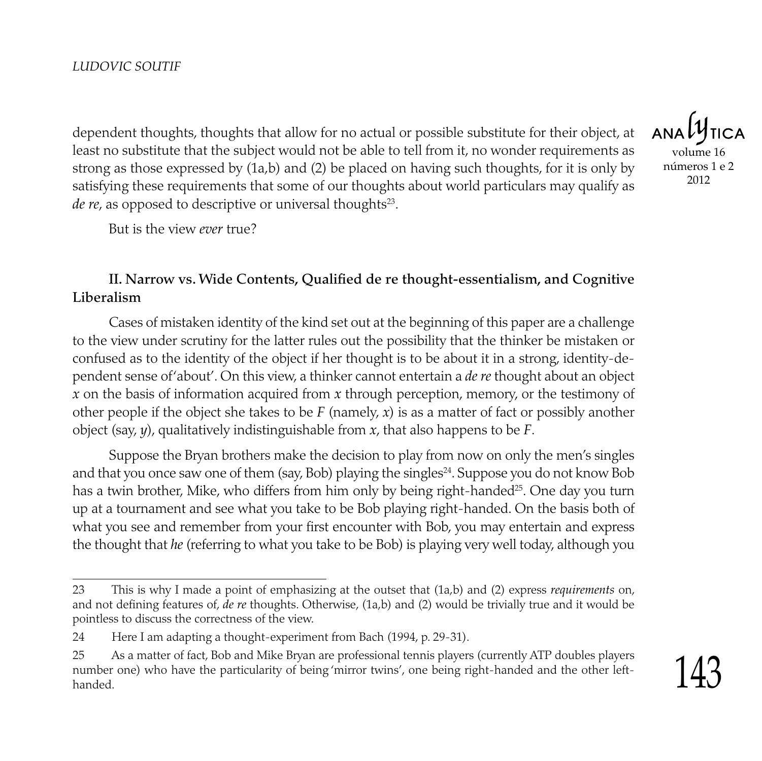dependent thoughts, thoughts that allow for no actual or possible substitute for their object, at least no substitute that the subject would not be able to tell from it, no wonder requirements as strong as those expressed by (1a,b) and (2) be placed on having such thoughts, for it is only by satisfying these requirements that some of our thoughts about world particulars may qualify as *de re*, as opposed to descriptive or universal thoughts<sup>23</sup>.

But is the view *ever* true?

### II. Narrow vs. Wide Contents, Qualified de re thought-essentialism, and Cognitive Liberalism

Cases of mistaken identity of the kind set out at the beginning of this paper are a challenge to the view under scrutiny for the latter rules out the possibility that the thinker be mistaken or confused as to the identity of the object if her thought is to be about it in a strong, identity-dependent sense of 'about'. On this view, a thinker cannot entertain a *de re* thought about an object *x* on the basis of information acquired from *x* through perception, memory, or the testimony of other people if the object she takes to be *F* (namely, *x*) is as a matter of fact or possibly another object (say, *y*), qualitatively indistinguishable from *x*, that also happens to be *F*.

Suppose the Bryan brothers make the decision to play from now on only the men's singles and that you once saw one of them (say, Bob) playing the singles $^{24}$ . Suppose you do not know Bob has a twin brother, Mike, who differs from him only by being right-handed<sup>25</sup>. One day you turn up at a tournament and see what you take to be Bob playing right-handed. On the basis both of what you see and remember from your first encounter with Bob, you may entertain and express the thought that *he* (referring to what you take to be Bob) is playing very well today, although you

volume 16 números 1 e 2 2012

<sup>23</sup> This is why I made a point of emphasizing at the outset that (1a,b) and (2) express *requirements* on, and not defining features of, *de re* thoughts. Otherwise, (1a,b) and (2) would be trivially true and it would be pointless to discuss the correctness of the view.

<sup>24</sup> Here I am adapting a thought-experiment from Bach (1994, p. 29-31).

<sup>25</sup> As a matter of fact, Bob and Mike Bryan are professional tennis players (currently ATP doubles players number one) who have the particularity of being 'mirror twins', one being right-handed and the other lefthanded.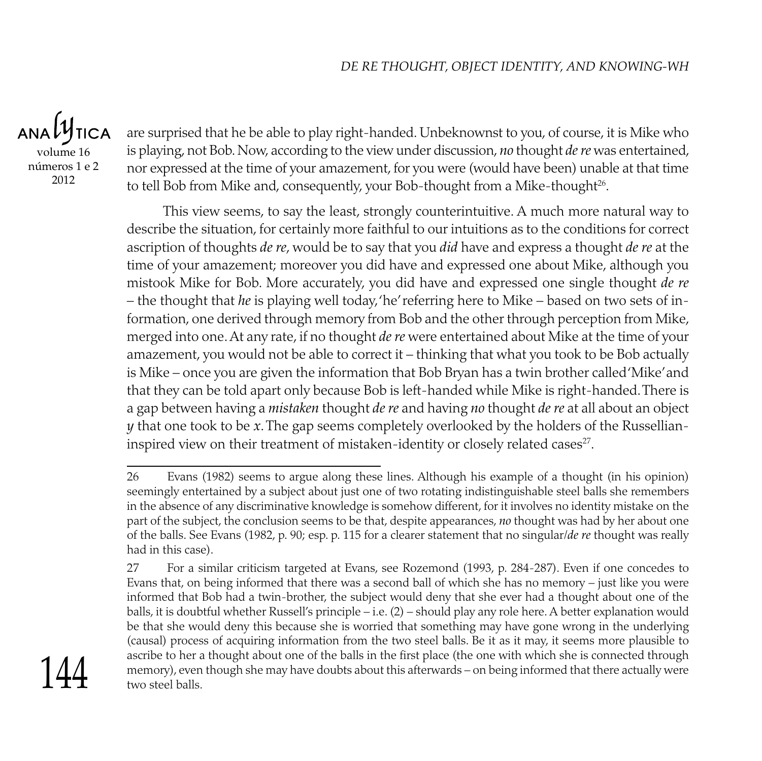ANALY **TICA** volume 16 números 1 e 2 2012

are surprised that he be able to play right-handed. Unbeknownst to you, of course, it is Mike who is playing, not Bob. Now, according to the view under discussion, *no* thought *de re* was entertained, nor expressed at the time of your amazement, for you were (would have been) unable at that time to tell Bob from Mike and, consequently, your Bob-thought from a Mike-thought<sup>26</sup>.

This view seems, to say the least, strongly counterintuitive. A much more natural way to describe the situation, for certainly more faithful to our intuitions as to the conditions for correct ascription of thoughts *de re*, would be to say that you *did* have and express a thought *de re* at the time of your amazement; moreover you did have and expressed one about Mike, although you mistook Mike for Bob. More accurately, you did have and expressed one single thought *de re* – the thought that *he* is playing well today, 'he' referring here to Mike – based on two sets of information, one derived through memory from Bob and the other through perception from Mike, merged into one. At any rate, if no thought *de re* were entertained about Mike at the time of your amazement, you would not be able to correct it – thinking that what you took to be Bob actually is Mike – once you are given the information that Bob Bryan has a twin brother called 'Mike' and that they can be told apart only because Bob is left-handed while Mike is right-handed. There is a gap between having a *mistaken* thought *de re* and having *no* thought *de re* at all about an object *y* that one took to be *x*. The gap seems completely overlooked by the holders of the Russellianinspired view on their treatment of mistaken-identity or closely related cases $^{\scriptscriptstyle 27}$ .

<sup>27</sup> For a similar criticism targeted at Evans, see Rozemond (1993, p. 284-287). Even if one concedes to Evans that, on being informed that there was a second ball of which she has no memory – just like you were informed that Bob had a twin-brother, the subject would deny that she ever had a thought about one of the balls, it is doubtful whether Russell's principle – i.e. (2) – should play any role here. A better explanation would be that she would deny this because she is worried that something may have gone wrong in the underlying (causal) process of acquiring information from the two steel balls. Be it as it may, it seems more plausible to ascribe to her a thought about one of the balls in the first place (the one with which she is connected through memory), even though she may have doubts about this afterwards – on being informed that there actually were two steel balls.



<sup>26</sup> Evans (1982) seems to argue along these lines. Although his example of a thought (in his opinion) seemingly entertained by a subject about just one of two rotating indistinguishable steel balls she remembers in the absence of any discriminative knowledge is somehow different, for it involves no identity mistake on the part of the subject, the conclusion seems to be that, despite appearances, *no* thought was had by her about one of the balls. See Evans (1982, p. 90; esp. p. 115 for a clearer statement that no singular/*de re* thought was really had in this case).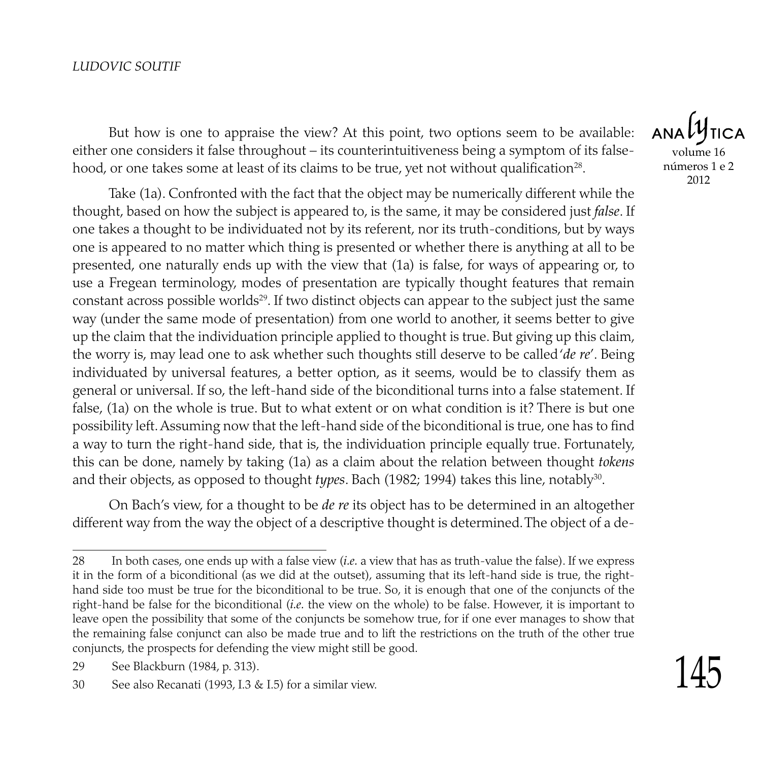But how is one to appraise the view? At this point, two options seem to be available: either one considers it false throughout – its counterintuitiveness being a symptom of its falsehood, or one takes some at least of its claims to be true, yet not without qualification $^{28}$ .

Take (1a). Confronted with the fact that the object may be numerically different while the thought, based on how the subject is appeared to, is the same, it may be considered just *false*. If one takes a thought to be individuated not by its referent, nor its truth-conditions, but by ways one is appeared to no matter which thing is presented or whether there is anything at all to be presented, one naturally ends up with the view that (1a) is false, for ways of appearing or, to use a Fregean terminology, modes of presentation are typically thought features that remain constant across possible worlds $^{29}$ . If two distinct objects can appear to the subject just the same way (under the same mode of presentation) from one world to another, it seems better to give up the claim that the individuation principle applied to thought is true. But giving up this claim, the worry is, may lead one to ask whether such thoughts still deserve to be called '*de re*'. Being individuated by universal features, a better option, as it seems, would be to classify them as general or universal. If so, the left-hand side of the biconditional turns into a false statement. If false, (1a) on the whole is true. But to what extent or on what condition is it? There is but one possibility left. Assuming now that the left-hand side of the biconditional is true, one has to find a way to turn the right-hand side, that is, the individuation principle equally true. Fortunately, this can be done, namely by taking (1a) as a claim about the relation between thought *tokens* and their objects, as opposed to thought *types*. Bach (1982; 1994) takes this line, notably<sup>30</sup>.

On Bach's view, for a thought to be *de re* its object has to be determined in an altogether different way from the way the object of a descriptive thought is determined. The object of a de-

**ANA** volume 16 números 1 e 2 2012

<sup>28</sup> In both cases, one ends up with a false view (*i.e.* a view that has as truth-value the false). If we express it in the form of a biconditional (as we did at the outset), assuming that its left-hand side is true, the righthand side too must be true for the biconditional to be true. So, it is enough that one of the conjuncts of the right-hand be false for the biconditional (*i.e.* the view on the whole) to be false. However, it is important to leave open the possibility that some of the conjuncts be somehow true, for if one ever manages to show that the remaining false conjunct can also be made true and to lift the restrictions on the truth of the other true conjuncts, the prospects for defending the view might still be good.

<sup>29</sup> See Blackburn (1984, p. 313).

<sup>30</sup> See also Recanati (1993, I.3 & I.5) for a similar view.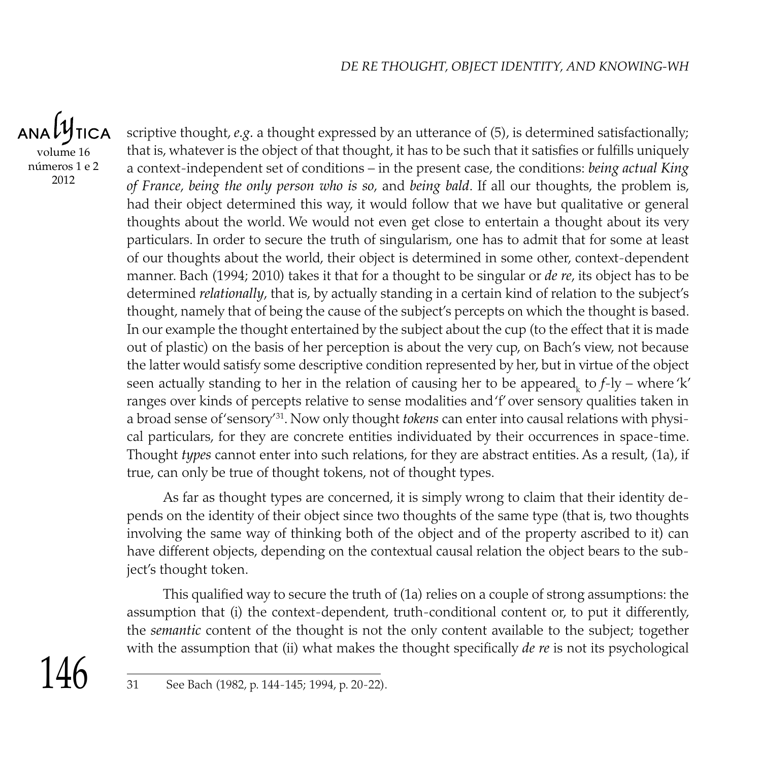ANALY **TICA** volume 16 números 1 e 2 2012

scriptive thought, *e.g.* a thought expressed by an utterance of (5), is determined satisfactionally; that is, whatever is the object of that thought, it has to be such that it satisfies or fulfills uniquely a context-independent set of conditions – in the present case, the conditions: *being actual King of France*, *being the only person who is so*, and *being bald*. If all our thoughts, the problem is, had their object determined this way, it would follow that we have but qualitative or general thoughts about the world. We would not even get close to entertain a thought about its very particulars. In order to secure the truth of singularism, one has to admit that for some at least of our thoughts about the world, their object is determined in some other, context-dependent manner. Bach (1994; 2010) takes it that for a thought to be singular or *de re*, its object has to be determined *relationally*, that is, by actually standing in a certain kind of relation to the subject's thought, namely that of being the cause of the subject's percepts on which the thought is based. In our example the thought entertained by the subject about the cup (to the effect that it is made out of plastic) on the basis of her perception is about the very cup, on Bach's view, not because the latter would satisfy some descriptive condition represented by her, but in virtue of the object seen actually standing to her in the relation of causing her to be appeared<sub>k</sub> to *f*-ly – where 'k' ranges over kinds of percepts relative to sense modalities and 'f' over sensory qualities taken in a broad sense of<sup>2</sup>sensory<sup>731</sup>. Now only thought *tokens* can enter into causal relations with physical particulars, for they are concrete entities individuated by their occurrences in space-time. Thought *types* cannot enter into such relations, for they are abstract entities. As a result, (1a), if true, can only be true of thought tokens, not of thought types.

As far as thought types are concerned, it is simply wrong to claim that their identity depends on the identity of their object since two thoughts of the same type (that is, two thoughts involving the same way of thinking both of the object and of the property ascribed to it) can have different objects, depending on the contextual causal relation the object bears to the subject's thought token.

This qualified way to secure the truth of (1a) relies on a couple of strong assumptions: the assumption that (i) the context-dependent, truth-conditional content or, to put it differently, the *semantic* content of the thought is not the only content available to the subject; together with the assumption that (ii) what makes the thought specifically *de re* is not its psychological



<sup>31</sup> See Bach (1982, p. 144-145; 1994, p. 20-22).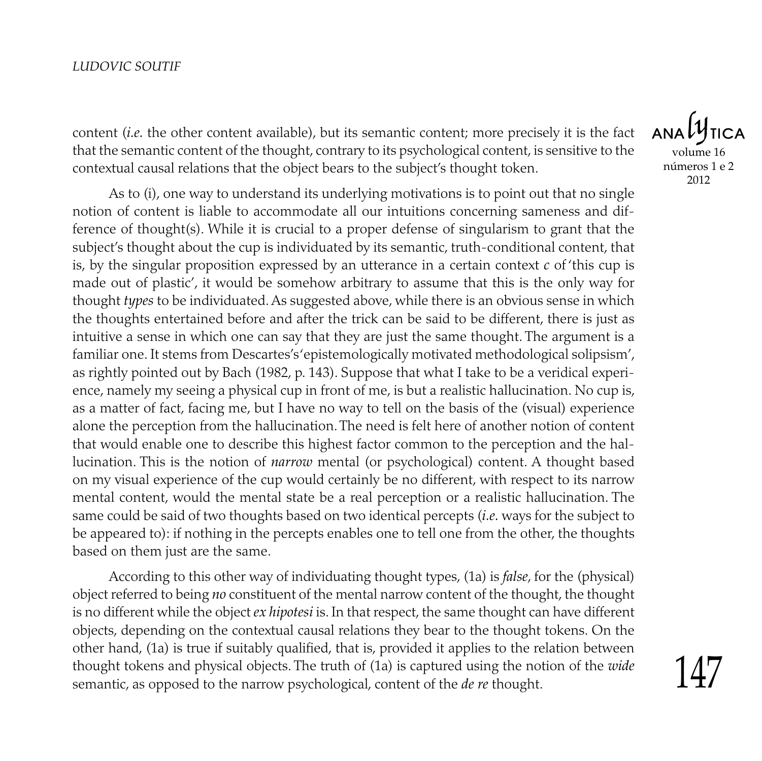content (*i.e.* the other content available), but its semantic content; more precisely it is the fact that the semantic content of the thought, contrary to its psychological content, is sensitive to the contextual causal relations that the object bears to the subject's thought token.

As to (i), one way to understand its underlying motivations is to point out that no single notion of content is liable to accommodate all our intuitions concerning sameness and difference of thought(s). While it is crucial to a proper defense of singularism to grant that the subject's thought about the cup is individuated by its semantic, truth-conditional content, that is, by the singular proposition expressed by an utterance in a certain context *c* of 'this cup is made out of plastic', it would be somehow arbitrary to assume that this is the only way for thought *types* to be individuated. As suggested above, while there is an obvious sense in which the thoughts entertained before and after the trick can be said to be different, there is just as intuitive a sense in which one can say that they are just the same thought. The argument is a familiar one. It stems from Descartes's 'epistemologically motivated methodological solipsism', as rightly pointed out by Bach (1982, p. 143). Suppose that what I take to be a veridical experience, namely my seeing a physical cup in front of me, is but a realistic hallucination. No cup is, as a matter of fact, facing me, but I have no way to tell on the basis of the (visual) experience alone the perception from the hallucination. The need is felt here of another notion of content that would enable one to describe this highest factor common to the perception and the hallucination. This is the notion of *narrow* mental (or psychological) content. A thought based on my visual experience of the cup would certainly be no different, with respect to its narrow mental content, would the mental state be a real perception or a realistic hallucination. The same could be said of two thoughts based on two identical percepts (*i.e.* ways for the subject to be appeared to): if nothing in the percepts enables one to tell one from the other, the thoughts based on them just are the same.

According to this other way of individuating thought types, (1a) is *false*, for the (physical) object referred to being *no* constituent of the mental narrow content of the thought, the thought is no different while the object *ex hipotesi* is. In that respect, the same thought can have different objects, depending on the contextual causal relations they bear to the thought tokens. On the other hand, (1a) is true if suitably qualified, that is, provided it applies to the relation between thought tokens and physical objects. The truth of (1a) is captured using the notion of the *wide* semantic, as opposed to the narrow psychological, content of the *de re* thought.

 $ANDU$ volume 16 números 1 e 2 2012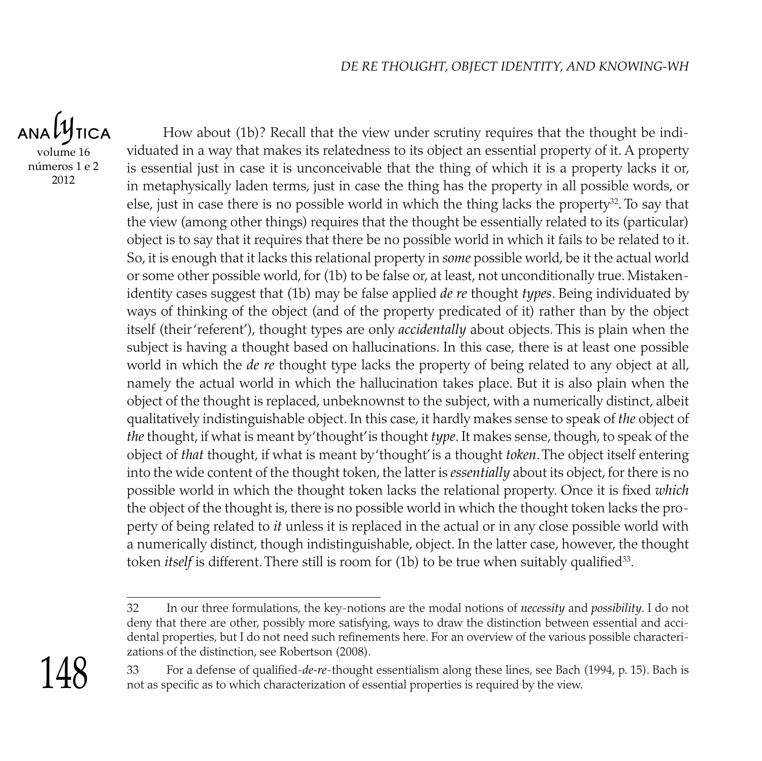ANALY **TICA** volume 16

números 1 e 2 2012

How about (1b)? Recall that the view under scrutiny requires that the thought be individuated in a way that makes its relatedness to its object an essential property of it. A property is essential just in case it is unconceivable that the thing of which it is a property lacks it or, in metaphysically laden terms, just in case the thing has the property in all possible words, or else, just in case there is no possible world in which the thing lacks the property $32$ . To say that the view (among other things) requires that the thought be essentially related to its (particular) object is to say that it requires that there be no possible world in which it fails to be related to it. So, it is enough that it lacks this relational property in *some* possible world, be it the actual world or some other possible world, for (1b) to be false or, at least, not unconditionally true. Mistakenidentity cases suggest that (1b) may be false applied *de re* thought *types*. Being individuated by ways of thinking of the object (and of the property predicated of it) rather than by the object itself (their 'referent'), thought types are only *accidentally* about objects. This is plain when the subject is having a thought based on hallucinations. In this case, there is at least one possible world in which the *de re* thought type lacks the property of being related to any object at all, namely the actual world in which the hallucination takes place. But it is also plain when the object of the thought is replaced, unbeknownst to the subject, with a numerically distinct, albeit qualitatively indistinguishable object. In this case, it hardly makes sense to speak of *the* object of *the* thought, if what is meant by 'thought' is thought *type*. It makes sense, though, to speak of the object of *that* thought, if what is meant by 'thought' is a thought *token*. The object itself entering into the wide content of the thought token, the latter is *essentially* about its object, for there is no possible world in which the thought token lacks the relational property. Once it is fixed *which* the object of the thought is, there is no possible world in which the thought token lacks the property of being related to *it* unless it is replaced in the actual or in any close possible world with a numerically distinct, though indistinguishable, object. In the latter case, however, the thought token *itself* is different. There still is room for (1b) to be true when suitably qualified<sup>33</sup>.

<sup>33</sup> For a defense of qualified-*de-re*-thought essentialism along these lines, see Bach (1994, p. 15). Bach is not as specific as to which characterization of essential properties is required by the view.



<sup>32</sup> In our three formulations, the key-notions are the modal notions of *necessity* and *possibility*. I do not deny that there are other, possibly more satisfying, ways to draw the distinction between essential and accidental properties, but I do not need such refinements here. For an overview of the various possible characterizations of the distinction, see Robertson (2008).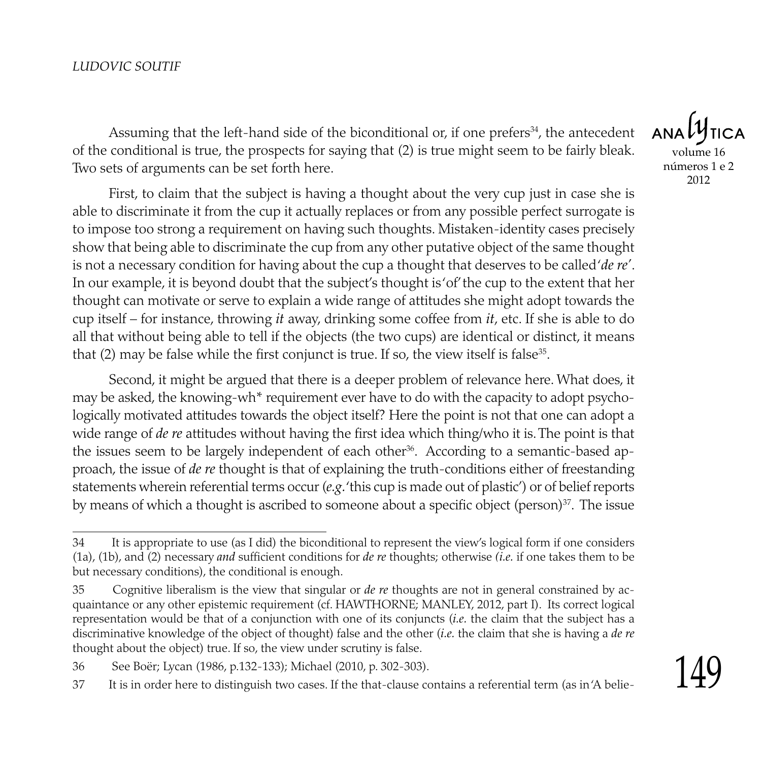Assuming that the left-hand side of the biconditional or, if one prefers<sup>34</sup>, the antecedent of the conditional is true, the prospects for saying that (2) is true might seem to be fairly bleak. Two sets of arguments can be set forth here.

First, to claim that the subject is having a thought about the very cup just in case she is able to discriminate it from the cup it actually replaces or from any possible perfect surrogate is to impose too strong a requirement on having such thoughts. Mistaken-identity cases precisely show that being able to discriminate the cup from any other putative object of the same thought is not a necessary condition for having about the cup a thought that deserves to be called '*de re'*. In our example, it is beyond doubt that the subject's thought is 'of' the cup to the extent that her thought can motivate or serve to explain a wide range of attitudes she might adopt towards the cup itself – for instance, throwing *it* away, drinking some coffee from *it*, etc. If she is able to do all that without being able to tell if the objects (the two cups) are identical or distinct, it means that  $(2)$  may be false while the first conjunct is true. If so, the view itself is false<sup>35</sup>.

Second, it might be argued that there is a deeper problem of relevance here. What does, it may be asked, the knowing-wh\* requirement ever have to do with the capacity to adopt psychologically motivated attitudes towards the object itself? Here the point is not that one can adopt a wide range of *de re* attitudes without having the first idea which thing/who it is. The point is that the issues seem to be largely independent of each other<sup>36</sup>. According to a semantic-based approach, the issue of *de re* thought is that of explaining the truth-conditions either of freestanding statements wherein referential terms occur (*e.g.* 'this cup is made out of plastic') or of belief reports by means of which a thought is ascribed to someone about a specific object (person)<sup>37</sup>. The issue

**ANA** volume 16 números 1 e 2 2012

<sup>34</sup> It is appropriate to use (as I did) the biconditional to represent the view's logical form if one considers (1a), (1b), and (2) necessary *and* sufficient conditions for *de re* thoughts; otherwise *(i.e.* if one takes them to be but necessary conditions), the conditional is enough.

<sup>35</sup> Cognitive liberalism is the view that singular or *de re* thoughts are not in general constrained by acquaintance or any other epistemic requirement (cf. HAWTHORNE; MANLEY, 2012, part I). Its correct logical representation would be that of a conjunction with one of its conjuncts (*i.e.* the claim that the subject has a discriminative knowledge of the object of thought) false and the other (*i.e.* the claim that she is having a *de re* thought about the object) true. If so, the view under scrutiny is false.

<sup>36</sup> See Boër; Lycan (1986, p.132-133); Michael (2010, p. 302-303).

<sup>37</sup> It is in order here to distinguish two cases. If the that-clause contains a referential term (as in 'A belie-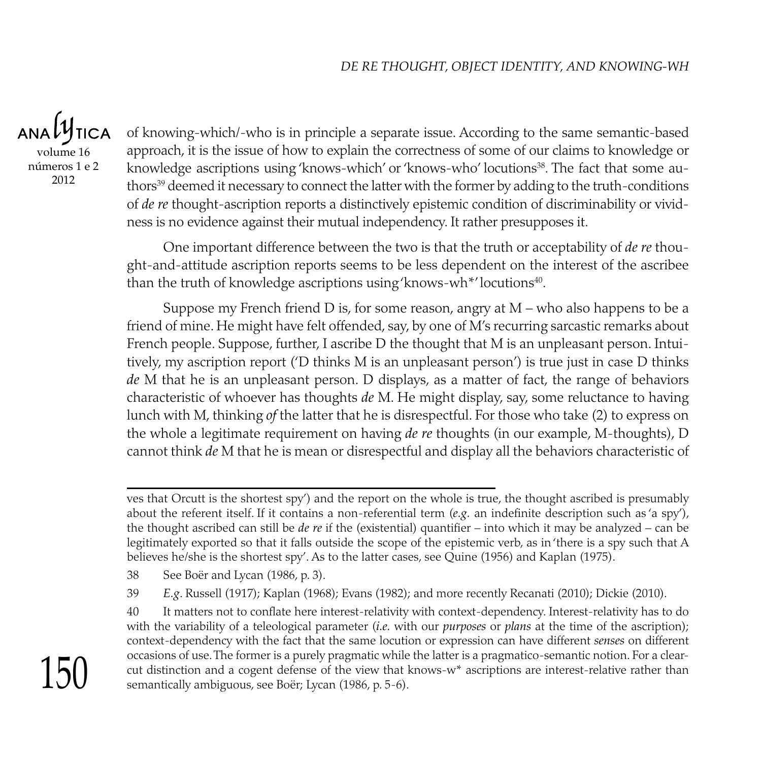ANALY **TICA** volume 16 números 1 e 2 2012

of knowing-which/-who is in principle a separate issue. According to the same semantic-based approach, it is the issue of how to explain the correctness of some of our claims to knowledge or knowledge ascriptions using 'knows-which' or 'knows-who' locutions<sup>38</sup>. The fact that some authors<sup>39</sup> deemed it necessary to connect the latter with the former by adding to the truth-conditions of *de re* thought-ascription reports a distinctively epistemic condition of discriminability or vividness is no evidence against their mutual independency. It rather presupposes it.

One important difference between the two is that the truth or acceptability of *de re* thought-and-attitude ascription reports seems to be less dependent on the interest of the ascribee than the truth of knowledge ascriptions using 'knows-wh\*' locutions $40$ .

Suppose my French friend  $D$  is, for some reason, angry at  $M$  – who also happens to be a friend of mine. He might have felt offended, say, by one of M's recurring sarcastic remarks about French people. Suppose, further, I ascribe D the thought that M is an unpleasant person. Intuitively, my ascription report ('D thinks M is an unpleasant person') is true just in case D thinks *de* M that he is an unpleasant person. D displays, as a matter of fact, the range of behaviors characteristic of whoever has thoughts *de* M. He might display, say, some reluctance to having lunch with M, thinking *of* the latter that he is disrespectful. For those who take (2) to express on the whole a legitimate requirement on having *de re* thoughts (in our example, M-thoughts), D cannot think *de* M that he is mean or disrespectful and display all the behaviors characteristic of

38 See Boër and Lycan (1986, p. 3).

39 *E.g*. Russell (1917); Kaplan (1968); Evans (1982); and more recently Recanati (2010); Dickie (2010).

40 It matters not to conflate here interest-relativity with context-dependency. Interest-relativity has to do with the variability of a teleological parameter (*i.e.* with our *purposes* or *plans* at the time of the ascription); context-dependency with the fact that the same locution or expression can have different *senses* on different occasions of use. The former is a purely pragmatic while the latter is a pragmatico-semantic notion. For a clearcut distinction and a cogent defense of the view that knows-w\* ascriptions are interest-relative rather than semantically ambiguous, see Boër; Lycan (1986, p. 5-6).



ves that Orcutt is the shortest spy') and the report on the whole is true, the thought ascribed is presumably about the referent itself. If it contains a non-referential term (*e.g.* an indefinite description such as 'a spy'), the thought ascribed can still be *de re* if the (existential) quantifier – into which it may be analyzed – can be legitimately exported so that it falls outside the scope of the epistemic verb, as in 'there is a spy such that A believes he/she is the shortest spy'. As to the latter cases, see Quine (1956) and Kaplan (1975).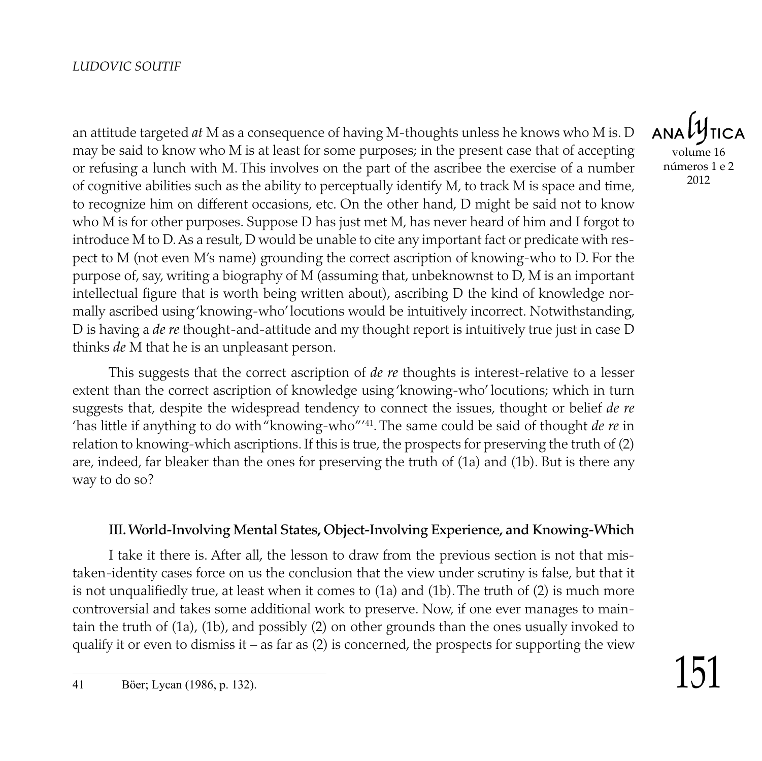an attitude targeted *at* M as a consequence of having M-thoughts unless he knows who M is. D may be said to know who M is at least for some purposes; in the present case that of accepting or refusing a lunch with M. This involves on the part of the ascribee the exercise of a number of cognitive abilities such as the ability to perceptually identify M, to track M is space and time, to recognize him on different occasions, etc. On the other hand, D might be said not to know who M is for other purposes. Suppose D has just met M, has never heard of him and I forgot to introduce M to D. As a result, D would be unable to cite any important fact or predicate with respect to M (not even M's name) grounding the correct ascription of knowing-who to D. For the purpose of, say, writing a biography of M (assuming that, unbeknownst to D, M is an important intellectual figure that is worth being written about), ascribing D the kind of knowledge normally ascribed using 'knowing-who' locutions would be intuitively incorrect. Notwithstanding, D is having a *de re* thought-and-attitude and my thought report is intuitively true just in case D thinks *de* M that he is an unpleasant person.

This suggests that the correct ascription of *de re* thoughts is interest-relative to a lesser extent than the correct ascription of knowledge using 'knowing-who' locutions; which in turn suggests that, despite the widespread tendency to connect the issues, thought or belief *de re* 'has little if anything to do with "knowing-who"'41. The same could be said of thought *de re* in relation to knowing-which ascriptions. If this is true, the prospects for preserving the truth of (2) are, indeed, far bleaker than the ones for preserving the truth of (1a) and (1b). But is there any way to do so?

#### III. World-Involving Mental States, Object-Involving Experience, and Knowing-Which

I take it there is. After all, the lesson to draw from the previous section is not that mistaken-identity cases force on us the conclusion that the view under scrutiny is false, but that it is not unqualifiedly true, at least when it comes to (1a) and (1b). The truth of (2) is much more controversial and takes some additional work to preserve. Now, if one ever manages to maintain the truth of (1a), (1b), and possibly (2) on other grounds than the ones usually invoked to qualify it or even to dismiss it – as far as  $(2)$  is concerned, the prospects for supporting the view

**ANA** volume 16 números 1 e 2

2012

<sup>41</sup> Böer; Lycan (1986, p. 132).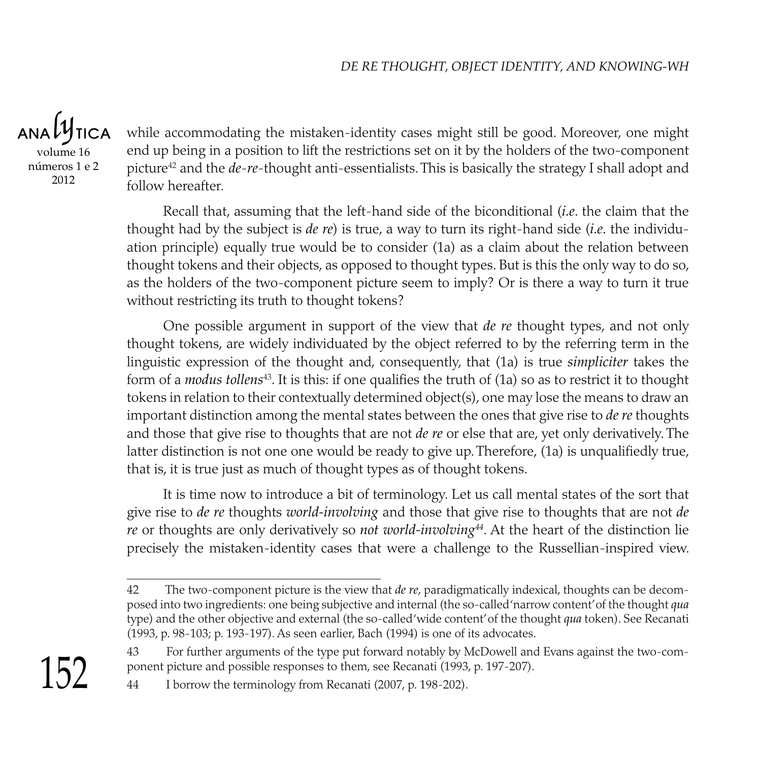**TICA** volume 16 números 1 e 2 2012

while accommodating the mistaken-identity cases might still be good. Moreover, one might end up being in a position to lift the restrictions set on it by the holders of the two-component picture<sup>42</sup> and the *de-re-*thought anti-essentialists. This is basically the strategy I shall adopt and follow hereafter.

Recall that, assuming that the left-hand side of the biconditional (*i.e*. the claim that the thought had by the subject is *de re*) is true, a way to turn its right-hand side (*i.e.* the individuation principle) equally true would be to consider (1a) as a claim about the relation between thought tokens and their objects, as opposed to thought types. But is this the only way to do so, as the holders of the two-component picture seem to imply? Or is there a way to turn it true without restricting its truth to thought tokens?

One possible argument in support of the view that *de re* thought types, and not only thought tokens, are widely individuated by the object referred to by the referring term in the linguistic expression of the thought and, consequently, that (1a) is true *simpliciter* takes the form of a *modus tollens*<sup>43</sup> . It is this: if one qualifies the truth of (1a) so as to restrict it to thought tokens in relation to their contextually determined object(s), one may lose the means to draw an important distinction among the mental states between the ones that give rise to *de re* thoughts and those that give rise to thoughts that are not *de re* or else that are, yet only derivatively. The latter distinction is not one one would be ready to give up. Therefore, (1a) is unqualifiedly true, that is, it is true just as much of thought types as of thought tokens.

It is time now to introduce a bit of terminology. Let us call mental states of the sort that give rise to *de re* thoughts *world-involving* and those that give rise to thoughts that are not *de re* or thoughts are only derivatively so *not world-involving44*. At the heart of the distinction lie precisely the mistaken-identity cases that were a challenge to the Russellian-inspired view.

<sup>42</sup> The two-component picture is the view that *de re*, paradigmatically indexical, thoughts can be decomposed into two ingredients: one being subjective and internal (the so-called 'narrow content' of the thought *qua* type) and the other objective and external (the so-called 'wide content' of the thought *qua* token). See Recanati (1993, p. 98-103; p. 193-197). As seen earlier, Bach (1994) is one of its advocates.

<sup>43</sup> For further arguments of the type put forward notably by McDowell and Evans against the two-component picture and possible responses to them, see Recanati (1993, p. 197-207).

<sup>44</sup> I borrow the terminology from Recanati (2007, p. 198-202).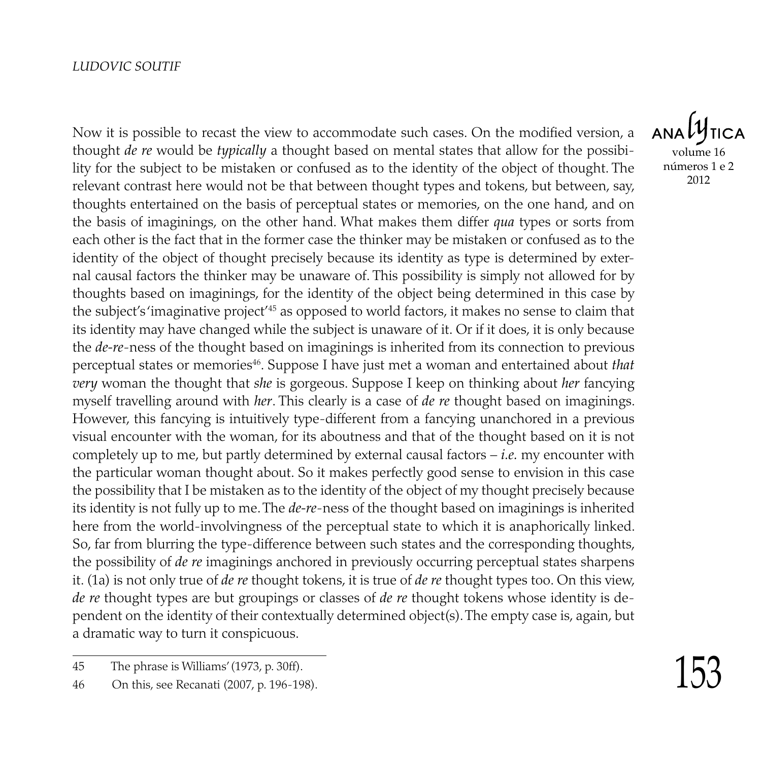Now it is possible to recast the view to accommodate such cases. On the modified version, a thought *de re* would be *typically* a thought based on mental states that allow for the possibility for the subject to be mistaken or confused as to the identity of the object of thought. The relevant contrast here would not be that between thought types and tokens, but between, say, thoughts entertained on the basis of perceptual states or memories, on the one hand, and on the basis of imaginings, on the other hand. What makes them differ *qua* types or sorts from each other is the fact that in the former case the thinker may be mistaken or confused as to the identity of the object of thought precisely because its identity as type is determined by external causal factors the thinker may be unaware of. This possibility is simply not allowed for by thoughts based on imaginings, for the identity of the object being determined in this case by the subject's 'imaginative project'45 as opposed to world factors, it makes no sense to claim that its identity may have changed while the subject is unaware of it. Or if it does, it is only because the *de-re*-ness of the thought based on imaginings is inherited from its connection to previous perceptual states or memories46. Suppose I have just met a woman and entertained about *that very* woman the thought that *she* is gorgeous. Suppose I keep on thinking about *her* fancying myself travelling around with *her*. This clearly is a case of *de re* thought based on imaginings. However, this fancying is intuitively type-different from a fancying unanchored in a previous visual encounter with the woman, for its aboutness and that of the thought based on it is not completely up to me, but partly determined by external causal factors – *i.e.* my encounter with the particular woman thought about. So it makes perfectly good sense to envision in this case the possibility that I be mistaken as to the identity of the object of my thought precisely because its identity is not fully up to me. The *de-re*-ness of the thought based on imaginings is inherited here from the world-involvingness of the perceptual state to which it is anaphorically linked. So, far from blurring the type-difference between such states and the corresponding thoughts, the possibility of *de re* imaginings anchored in previously occurring perceptual states sharpens it. (1a) is not only true of *de re* thought tokens, it is true of *de re* thought types too. On this view, *de re* thought types are but groupings or classes of *de re* thought tokens whose identity is dependent on the identity of their contextually determined object(s). The empty case is, again, but a dramatic way to turn it conspicuous.

**ANALY** volume 16 números 1 e 2 2012

<sup>45</sup> The phrase is Williams' (1973, p. 30ff).

<sup>46</sup> On this, see Recanati (2007, p. 196-198).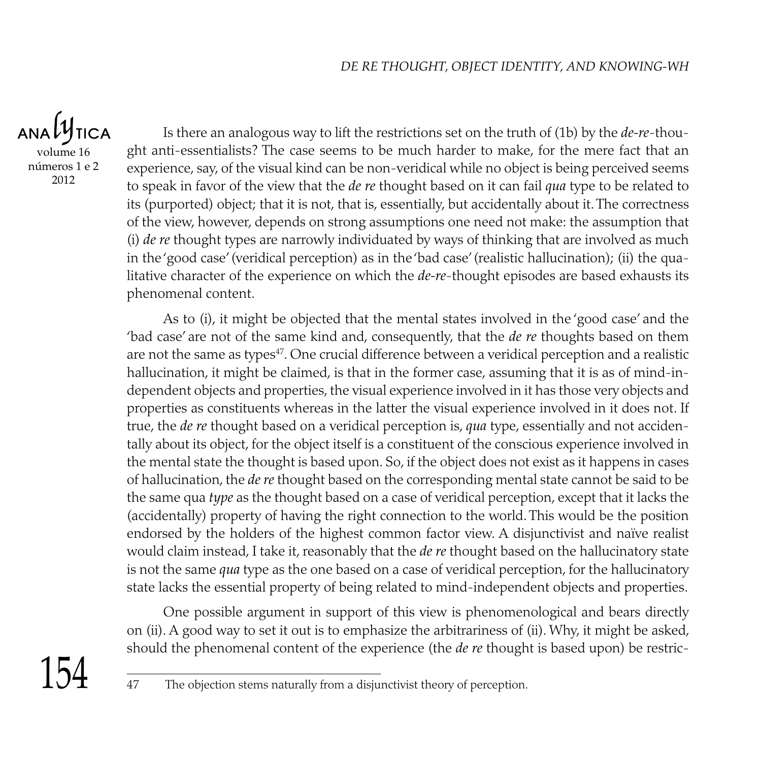$ANDU$ **TICA** volume 16 números 1 e 2 2012

Is there an analogous way to lift the restrictions set on the truth of (1b) by the *de-re*-thought anti-essentialists? The case seems to be much harder to make, for the mere fact that an experience, say, of the visual kind can be non-veridical while no object is being perceived seems to speak in favor of the view that the *de re* thought based on it can fail *qua* type to be related to its (purported) object; that it is not, that is, essentially, but accidentally about it. The correctness of the view, however, depends on strong assumptions one need not make: the assumption that (i) *de re* thought types are narrowly individuated by ways of thinking that are involved as much in the 'good case' (veridical perception) as in the 'bad case' (realistic hallucination); (ii) the qualitative character of the experience on which the *de-re*-thought episodes are based exhausts its phenomenal content.

As to (i), it might be objected that the mental states involved in the 'good case' and the 'bad case' are not of the same kind and, consequently, that the *de re* thoughts based on them are not the same as types<sup>47</sup>. One crucial difference between a veridical perception and a realistic hallucination, it might be claimed, is that in the former case, assuming that it is as of mind-independent objects and properties, the visual experience involved in it has those very objects and properties as constituents whereas in the latter the visual experience involved in it does not. If true, the *de re* thought based on a veridical perception is, *qua* type, essentially and not accidentally about its object, for the object itself is a constituent of the conscious experience involved in the mental state the thought is based upon. So, if the object does not exist as it happens in cases of hallucination, the *de re* thought based on the corresponding mental state cannot be said to be the same qua *type* as the thought based on a case of veridical perception, except that it lacks the (accidentally) property of having the right connection to the world. This would be the position endorsed by the holders of the highest common factor view. A disjunctivist and naïve realist would claim instead, I take it, reasonably that the *de re* thought based on the hallucinatory state is not the same *qua* type as the one based on a case of veridical perception, for the hallucinatory state lacks the essential property of being related to mind-independent objects and properties.

One possible argument in support of this view is phenomenological and bears directly on (ii). A good way to set it out is to emphasize the arbitrariness of (ii). Why, it might be asked, should the phenomenal content of the experience (the *de re* thought is based upon) be restric-

<sup>154</sup>

<sup>47</sup> The objection stems naturally from a disjunctivist theory of perception.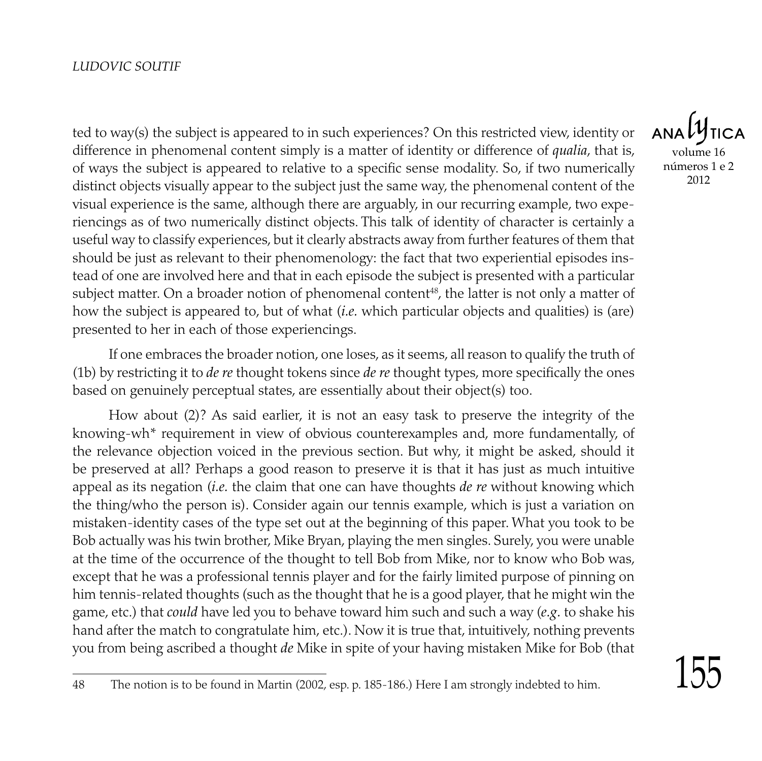ted to way(s) the subject is appeared to in such experiences? On this restricted view, identity or difference in phenomenal content simply is a matter of identity or difference of *qualia*, that is, of ways the subject is appeared to relative to a specific sense modality. So, if two numerically distinct objects visually appear to the subject just the same way, the phenomenal content of the visual experience is the same, although there are arguably, in our recurring example, two experiencings as of two numerically distinct objects. This talk of identity of character is certainly a useful way to classify experiences, but it clearly abstracts away from further features of them that should be just as relevant to their phenomenology: the fact that two experiential episodes instead of one are involved here and that in each episode the subject is presented with a particular subject matter. On a broader notion of phenomenal content<sup>48</sup>, the latter is not only a matter of how the subject is appeared to, but of what (*i.e.* which particular objects and qualities) is (are) presented to her in each of those experiencings.

If one embraces the broader notion, one loses, as it seems, all reason to qualify the truth of (1b) by restricting it to *de re* thought tokens since *de re* thought types, more specifically the ones based on genuinely perceptual states, are essentially about their object(s) too.

How about (2)? As said earlier, it is not an easy task to preserve the integrity of the knowing-wh\* requirement in view of obvious counterexamples and, more fundamentally, of the relevance objection voiced in the previous section. But why, it might be asked, should it be preserved at all? Perhaps a good reason to preserve it is that it has just as much intuitive appeal as its negation (*i.e.* the claim that one can have thoughts *de re* without knowing which the thing/who the person is). Consider again our tennis example, which is just a variation on mistaken-identity cases of the type set out at the beginning of this paper. What you took to be Bob actually was his twin brother, Mike Bryan, playing the men singles. Surely, you were unable at the time of the occurrence of the thought to tell Bob from Mike, nor to know who Bob was, except that he was a professional tennis player and for the fairly limited purpose of pinning on him tennis-related thoughts (such as the thought that he is a good player, that he might win the game, etc.) that *could* have led you to behave toward him such and such a way (*e.g.* to shake his hand after the match to congratulate him, etc.). Now it is true that, intuitively, nothing prevents you from being ascribed a thought *de* Mike in spite of your having mistaken Mike for Bob (that

volume 16 números 1 e 2 2012

<sup>48</sup> The notion is to be found in Martin (2002, esp. p. 185-186.) Here I am strongly indebted to him.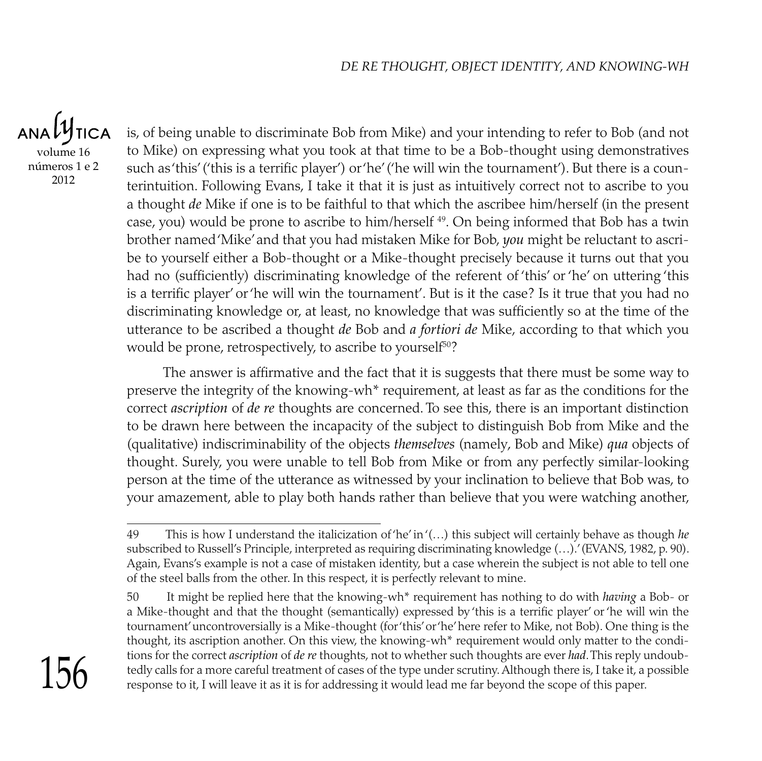**TICA** volume 16 números 1 e 2 2012

is, of being unable to discriminate Bob from Mike) and your intending to refer to Bob (and not to Mike) on expressing what you took at that time to be a Bob-thought using demonstratives such as 'this' ('this is a terrific player') or 'he' ('he will win the tournament'). But there is a counterintuition. Following Evans, I take it that it is just as intuitively correct not to ascribe to you a thought *de* Mike if one is to be faithful to that which the ascribee him/herself (in the present case, you) would be prone to ascribe to him/herself  $49$ . On being informed that Bob has a twin brother named 'Mike' and that you had mistaken Mike for Bob, *you* might be reluctant to ascribe to yourself either a Bob-thought or a Mike-thought precisely because it turns out that you had no (sufficiently) discriminating knowledge of the referent of 'this' or 'he' on uttering 'this is a terrific player' or 'he will win the tournament'. But is it the case? Is it true that you had no discriminating knowledge or, at least, no knowledge that was sufficiently so at the time of the utterance to be ascribed a thought *de* Bob and *a fortiori de* Mike, according to that which you would be prone, retrospectively, to ascribe to yourself $^{50}\text{?}$ 

The answer is affirmative and the fact that it is suggests that there must be some way to preserve the integrity of the knowing-wh\* requirement, at least as far as the conditions for the correct *ascription* of *de re* thoughts are concerned. To see this, there is an important distinction to be drawn here between the incapacity of the subject to distinguish Bob from Mike and the (qualitative) indiscriminability of the objects *themselves* (namely*,* Bob and Mike) *qua* objects of thought. Surely, you were unable to tell Bob from Mike or from any perfectly similar-looking person at the time of the utterance as witnessed by your inclination to believe that Bob was, to your amazement, able to play both hands rather than believe that you were watching another,

 $156$ 

<sup>49</sup> This is how I understand the italicization of 'he' in '(…) this subject will certainly behave as though *he* subscribed to Russell's Principle, interpreted as requiring discriminating knowledge (…).' (Evans, 1982, p. 90). Again, Evans's example is not a case of mistaken identity, but a case wherein the subject is not able to tell one of the steel balls from the other. In this respect, it is perfectly relevant to mine.

<sup>50</sup> It might be replied here that the knowing-wh\* requirement has nothing to do with *having* a Bob- or a Mike-thought and that the thought (semantically) expressed by 'this is a terrific player' or 'he will win the tournament' uncontroversially is a Mike-thought (for 'this' or 'he' here refer to Mike, not Bob). One thing is the thought, its ascription another. On this view, the knowing-wh\* requirement would only matter to the conditions for the correct *ascription* of *de re* thoughts, not to whether such thoughts are ever *had*. This reply undoubtedly calls for a more careful treatment of cases of the type under scrutiny. Although there is, I take it, a possible response to it, I will leave it as it is for addressing it would lead me far beyond the scope of this paper.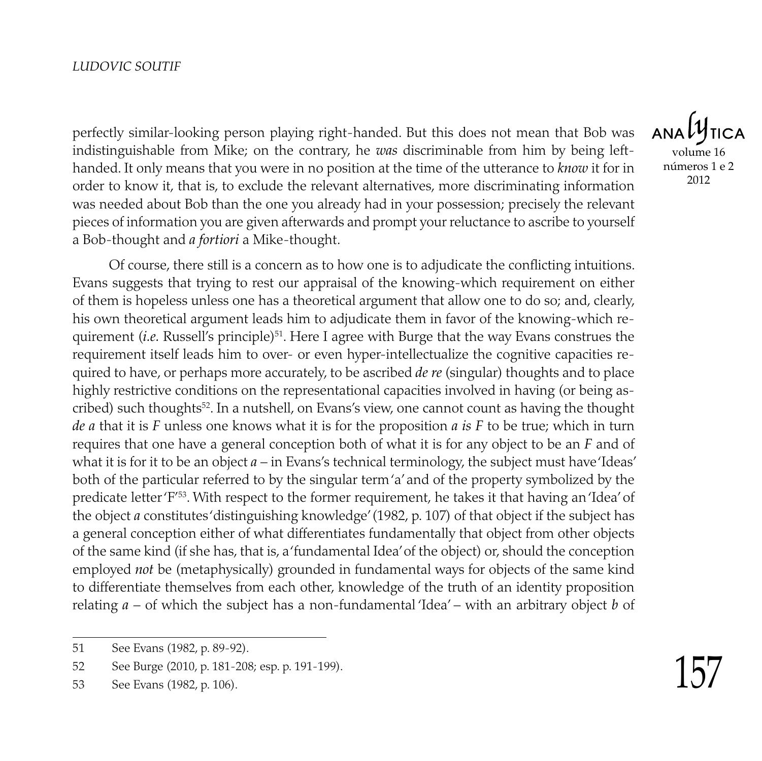perfectly similar-looking person playing right-handed. But this does not mean that Bob was indistinguishable from Mike; on the contrary, he *was* discriminable from him by being lefthanded. It only means that you were in no position at the time of the utterance to *know* it for in order to know it, that is, to exclude the relevant alternatives, more discriminating information was needed about Bob than the one you already had in your possession; precisely the relevant pieces of information you are given afterwards and prompt your reluctance to ascribe to yourself a Bob-thought and *a fortiori* a Mike-thought.

Of course, there still is a concern as to how one is to adjudicate the conflicting intuitions. Evans suggests that trying to rest our appraisal of the knowing-which requirement on either of them is hopeless unless one has a theoretical argument that allow one to do so; and, clearly, his own theoretical argument leads him to adjudicate them in favor of the knowing-which requirement (*i.e.* Russell's principle)<sup>51</sup>. Here I agree with Burge that the way Evans construes the requirement itself leads him to over- or even hyper-intellectualize the cognitive capacities required to have, or perhaps more accurately, to be ascribed *de re* (singular) thoughts and to place highly restrictive conditions on the representational capacities involved in having (or being ascribed) such thoughts<sup>52</sup>. In a nutshell, on Evans's view, one cannot count as having the thought *de a* that it is *F* unless one knows what it is for the proposition *a is F* to be true; which in turn requires that one have a general conception both of what it is for any object to be an *F* and of what it is for it to be an object  $a$  – in Evans's technical terminology, the subject must have 'Ideas' both of the particular referred to by the singular term 'a' and of the property symbolized by the predicate letter 'F' 53. With respect to the former requirement, he takes it that having an 'Idea' of the object *a* constitutes 'distinguishing knowledge' (1982, p. 107) of that object if the subject has a general conception either of what differentiates fundamentally that object from other objects of the same kind (if she has, that is, a 'fundamental Idea' of the object) or, should the conception employed *not* be (metaphysically) grounded in fundamental ways for objects of the same kind to differentiate themselves from each other, knowledge of the truth of an identity proposition relating *a* – of which the subject has a non-fundamental 'Idea' – with an arbitrary object *b* of

volume 16 números 1 e 2 2012

<sup>51</sup> See Evans (1982, p. 89-92).

<sup>52</sup> See Burge (2010, p. 181-208; esp. p. 191-199).

<sup>53</sup> See Evans (1982, p. 106).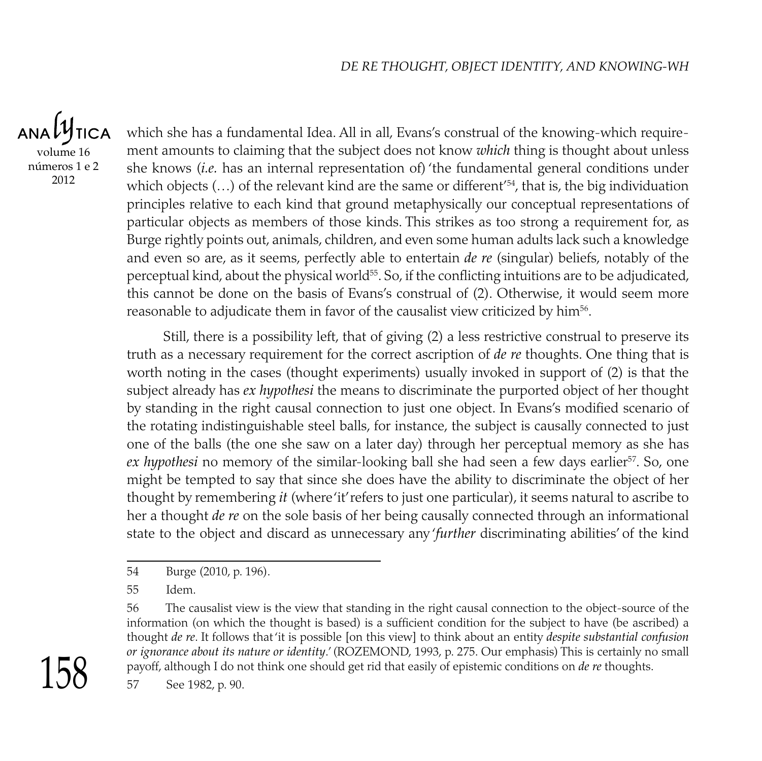$ANDU$ **TICA** volume 16 números 1 e 2 2012

which she has a fundamental Idea. All in all, Evans's construal of the knowing-which requirement amounts to claiming that the subject does not know *which* thing is thought about unless she knows (*i.e.* has an internal representation of) 'the fundamental general conditions under which objects (...) of the relevant kind are the same or different'<sup>54</sup>, that is, the big individuation principles relative to each kind that ground metaphysically our conceptual representations of particular objects as members of those kinds. This strikes as too strong a requirement for, as Burge rightly points out, animals, children, and even some human adults lack such a knowledge and even so are, as it seems, perfectly able to entertain *de re* (singular) beliefs, notably of the perceptual kind, about the physical world $55$ . So, if the conflicting intuitions are to be adjudicated, this cannot be done on the basis of Evans's construal of (2). Otherwise, it would seem more reasonable to adjudicate them in favor of the causalist view criticized by him $^{\rm 56}.$ 

Still, there is a possibility left, that of giving (2) a less restrictive construal to preserve its truth as a necessary requirement for the correct ascription of *de re* thoughts. One thing that is worth noting in the cases (thought experiments) usually invoked in support of (2) is that the subject already has *ex hypothesi* the means to discriminate the purported object of her thought by standing in the right causal connection to just one object. In Evans's modified scenario of the rotating indistinguishable steel balls, for instance, the subject is causally connected to just one of the balls (the one she saw on a later day) through her perceptual memory as she has ex hypothesi no memory of the similar-looking ball she had seen a few days earlier<sup>57</sup>. So, one might be tempted to say that since she does have the ability to discriminate the object of her thought by remembering *it* (where 'it' refers to just one particular), it seems natural to ascribe to her a thought *de re* on the sole basis of her being causally connected through an informational state to the object and discard as unnecessary any '*further* discriminating abilities' of the kind

<sup>56</sup> The causalist view is the view that standing in the right causal connection to the object-source of the information (on which the thought is based) is a sufficient condition for the subject to have (be ascribed) a thought *de re*. It follows that 'it is possible [on this view] to think about an entity *despite substantial confusion or ignorance about its nature or identity.'* (ROZEMOND, 1993, p. 275. Our emphasis) This is certainly no small payoff, although I do not think one should get rid that easily of epistemic conditions on *de re* thoughts.



<sup>57</sup> See 1982, p. 90.

<sup>54</sup> Burge (2010, p. 196).

<sup>55</sup> Idem.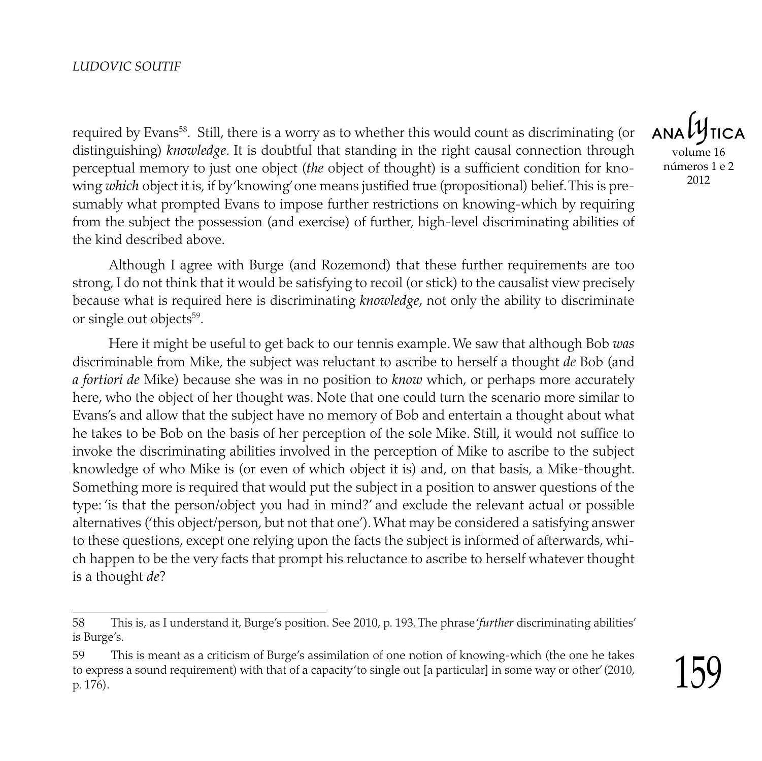required by Evans $^{\rm 58}.$  Still, there is a worry as to whether this would count as discriminating (or distinguishing) *knowledge*. It is doubtful that standing in the right causal connection through perceptual memory to just one object (*the* object of thought) is a sufficient condition for knowing *which* object it is, if by 'knowing' one means justified true (propositional) belief. This is presumably what prompted Evans to impose further restrictions on knowing-which by requiring from the subject the possession (and exercise) of further, high-level discriminating abilities of the kind described above.

Although I agree with Burge (and Rozemond) that these further requirements are too strong, I do not think that it would be satisfying to recoil (or stick) to the causalist view precisely because what is required here is discriminating *knowledge*, not only the ability to discriminate or single out objects<sup>59</sup>.

Here it might be useful to get back to our tennis example. We saw that although Bob *was* discriminable from Mike, the subject was reluctant to ascribe to herself a thought *de* Bob (and *a fortiori de* Mike) because she was in no position to *know* which, or perhaps more accurately here, who the object of her thought was. Note that one could turn the scenario more similar to Evans's and allow that the subject have no memory of Bob and entertain a thought about what he takes to be Bob on the basis of her perception of the sole Mike. Still, it would not suffice to invoke the discriminating abilities involved in the perception of Mike to ascribe to the subject knowledge of who Mike is (or even of which object it is) and, on that basis, a Mike-thought. Something more is required that would put the subject in a position to answer questions of the type: 'is that the person/object you had in mind?' and exclude the relevant actual or possible alternatives ('this object/person, but not that one'). What may be considered a satisfying answer to these questions, except one relying upon the facts the subject is informed of afterwards, which happen to be the very facts that prompt his reluctance to ascribe to herself whatever thought is a thought *de*?

volume 16 números 1 e 2 2012

<sup>58</sup> This is, as I understand it, Burge's position. See 2010, p. 193. The phrase '*further* discriminating abilities' is Burge's.

<sup>59</sup> This is meant as a criticism of Burge's assimilation of one notion of knowing-which (the one he takes to express a sound requirement) with that of a capacity 'to single out [a particular] in some way or other' (2010, p. 176).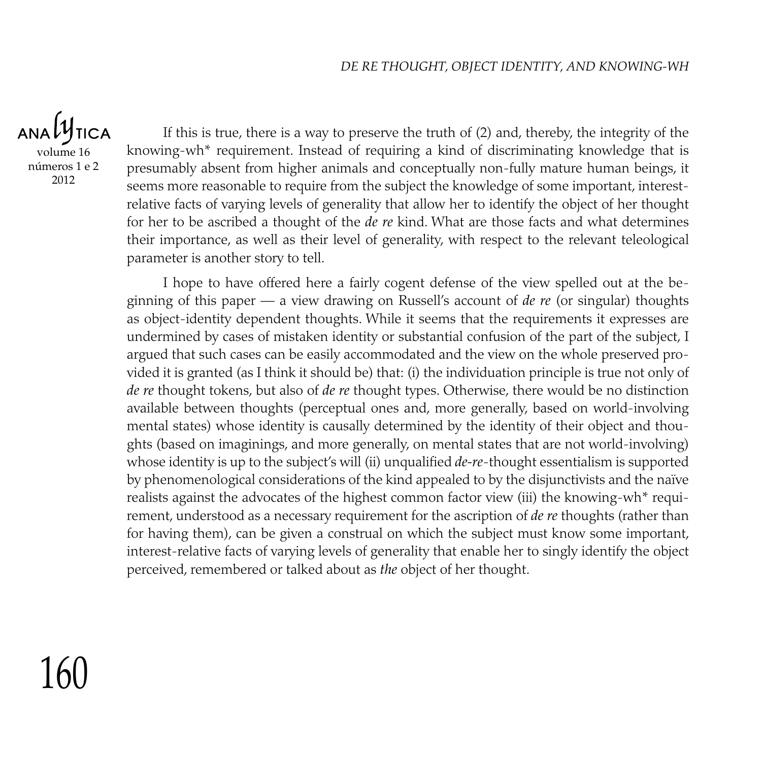$ANDU$ **TICA** volume 16 números 1 e 2 2012

If this is true, there is a way to preserve the truth of (2) and, thereby, the integrity of the knowing-wh\* requirement. Instead of requiring a kind of discriminating knowledge that is presumably absent from higher animals and conceptually non-fully mature human beings, it seems more reasonable to require from the subject the knowledge of some important, interestrelative facts of varying levels of generality that allow her to identify the object of her thought for her to be ascribed a thought of the *de re* kind. What are those facts and what determines their importance, as well as their level of generality, with respect to the relevant teleological parameter is another story to tell.

I hope to have offered here a fairly cogent defense of the view spelled out at the beginning of this paper — a view drawing on Russell's account of *de re* (or singular) thoughts as object-identity dependent thoughts. While it seems that the requirements it expresses are undermined by cases of mistaken identity or substantial confusion of the part of the subject, I argued that such cases can be easily accommodated and the view on the whole preserved provided it is granted (as I think it should be) that: (i) the individuation principle is true not only of *de re* thought tokens, but also of *de re* thought types. Otherwise, there would be no distinction available between thoughts (perceptual ones and, more generally, based on world-involving mental states) whose identity is causally determined by the identity of their object and thoughts (based on imaginings, and more generally, on mental states that are not world-involving) whose identity is up to the subject's will (ii) unqualified *de-re*-thought essentialism is supported by phenomenological considerations of the kind appealed to by the disjunctivists and the naïve realists against the advocates of the highest common factor view (iii) the knowing-wh\* requirement, understood as a necessary requirement for the ascription of *de re* thoughts (rather than for having them), can be given a construal on which the subject must know some important, interest-relative facts of varying levels of generality that enable her to singly identify the object perceived, remembered or talked about as *the* object of her thought.

# 160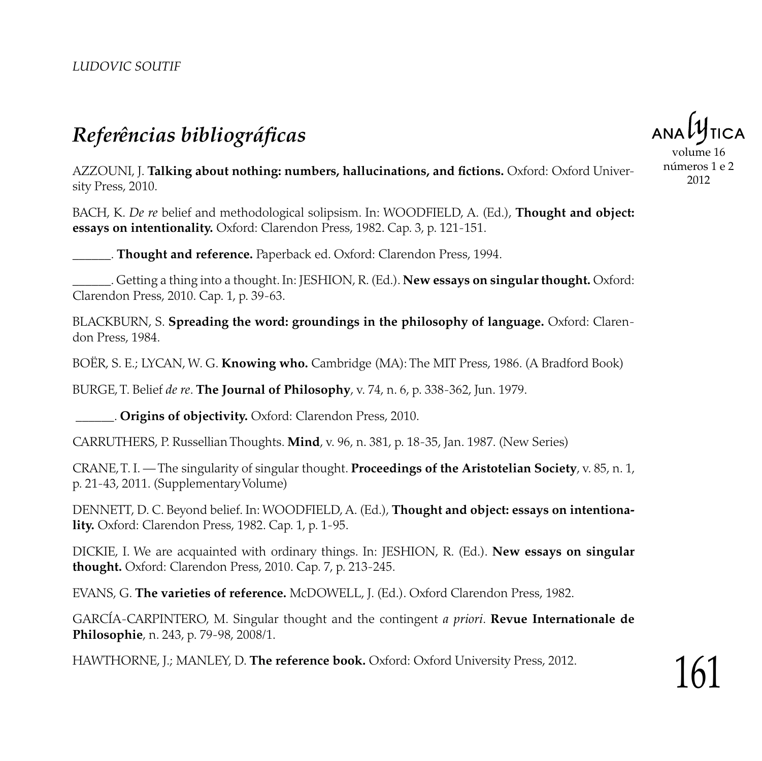## *Referências bibliográficas*

volume 16

números 1 e 2 2012

Azzouni, J. **Talking about nothing: numbers, hallucinations, and fictions.** Oxford: Oxford University Press, 2010.

Bach, K. *De re* belief and methodological solipsism. In: WOODFIELD, A. (Ed.), **Thought and object: essays on intentionality.** Oxford: Clarendon Press, 1982. Cap. 3, p. 121-151.

\_\_\_\_\_\_. **Thought and reference.** Paperback ed. Oxford: Clarendon Press, 1994.

\_\_\_\_\_\_. Getting a thing into a thought. In: JESHION, R. (Ed.). **New essays on singular thought.** Oxford: Clarendon Press, 2010. Cap. 1, p. 39-63.

Blackburn, S. **Spreading the word: groundings in the philosophy of language.** Oxford: Clarendon Press, 1984.

Boër, S. E.; Lycan, W. G. **Knowing who.** Cambridge (MA): The MIT Press, 1986. (A Bradford Book)

Burge, T. Belief *de re*. **The Journal of Philosophy**, v. 74, n. 6, p. 338-362, Jun. 1979.

\_\_\_\_\_\_. **Origins of objectivity.** Oxford: Clarendon Press, 2010.

Carruthers, P. Russellian Thoughts. **Mind**, v. 96, n. 381, p. 18-35, Jan. 1987. (New Series)

Crane, T. I. — The singularity of singular thought. **Proceedings of the Aristotelian Society**, v. 85, n. 1, p. 21-43, 2011. (Supplementary Volume)

Dennett, D. C. Beyond belief. In: WOODFIELD, A. (Ed.), **Thought and object: essays on intentionality.** Oxford: Clarendon Press, 1982. Cap. 1, p. 1-95.

Dickie, I. We are acquainted with ordinary things. In: JESHION, R. (Ed.). **New essays on singular thought.** Oxford: Clarendon Press, 2010. Cap. 7, p. 213-245.

Evans, G. **The varieties of reference.** McDOWELL, J. (Ed.). Oxford Clarendon Press, 1982.

García-Carpintero, M. Singular thought and the contingent *a priori*. **Revue Internationale de Philosophie**, n. 243, p. 79-98, 2008/1.

Hawthorne, J.; Manley, D. **The reference book.** Oxford: Oxford University Press, 2012.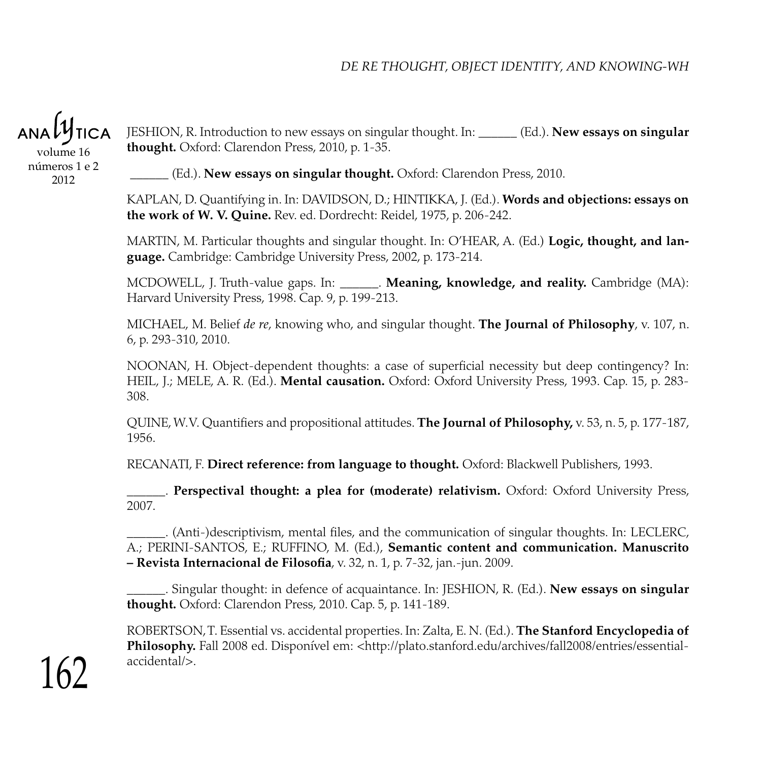

volume 16 números 1 e 2 2012

Jeshion, R. Introduction to new essays on singular thought. In: \_\_\_\_\_\_ (Ed.). **New essays on singular thought.** Oxford: Clarendon Press, 2010, p. 1-35.

\_\_\_\_\_\_ (Ed.). **New essays on singular thought.** Oxford: Clarendon Press, 2010.

KAPLAN, D. Quantifying in. In: DAVIDSON, D.; HINTIKKA, J. (Ed.). **Words and objections: essays on the work of W. V. Quine.** Rev. ed. Dordrecht: Reidel, 1975, p. 206-242.

Martin, M. Particular thoughts and singular thought. In: O'HEAR, A. (Ed.) **Logic, thought, and language.** Cambridge: Cambridge University Press, 2002, p. 173-214.

McDowell, J. Truth-value gaps. In: \_\_\_\_\_\_. **Meaning, knowledge, and reality.** Cambridge (MA): Harvard University Press, 1998. Cap. 9, p. 199-213.

Michael, M. Belief *de re*, knowing who, and singular thought. **The Journal of Philosophy**, v. 107, n. 6, p. 293-310, 2010.

NOONAN, H. Object-dependent thoughts: a case of superficial necessity but deep contingency? In: Heil, J.; Mele, A. R. (Ed.). **Mental causation.** Oxford: Oxford University Press, 1993. Cap. 15, p. 283- 308.

Quine, W. V. Quantifiers and propositional attitudes. **The Journal of Philosophy,** v. 53, n. 5, p. 177-187, 1956.

Recanati, F. **Direct reference: from language to thought.** Oxford: Blackwell Publishers, 1993.

\_\_\_\_\_\_. **Perspectival thought: a plea for (moderate) relativism.** Oxford: Oxford University Press, 2007.

(Anti-)descriptivism, mental files, and the communication of singular thoughts. In: LECLERC, A.; Perini-Santos, E.; Ruffino, M. (Ed.), **Semantic content and communication. Manuscrito – Revista Internacional de Filosofia**, v. 32, n. 1, p. 7-32, jan.-jun. 2009.

\_\_\_\_\_\_. Singular thought: in defence of acquaintance. In: JESHION, R. (Ed.). **New essays on singular thought.** Oxford: Clarendon Press, 2010. Cap. 5, p. 141-189.

ROBERTSON, T. Essential vs. accidental properties. In: Zalta, E. N. (Ed.). **The Stanford Encyclopedia of** Philosophy. Fall 2008 ed. Disponível em: <http://plato.stanford.edu/archives/fall2008/entries/essentialaccidental/>.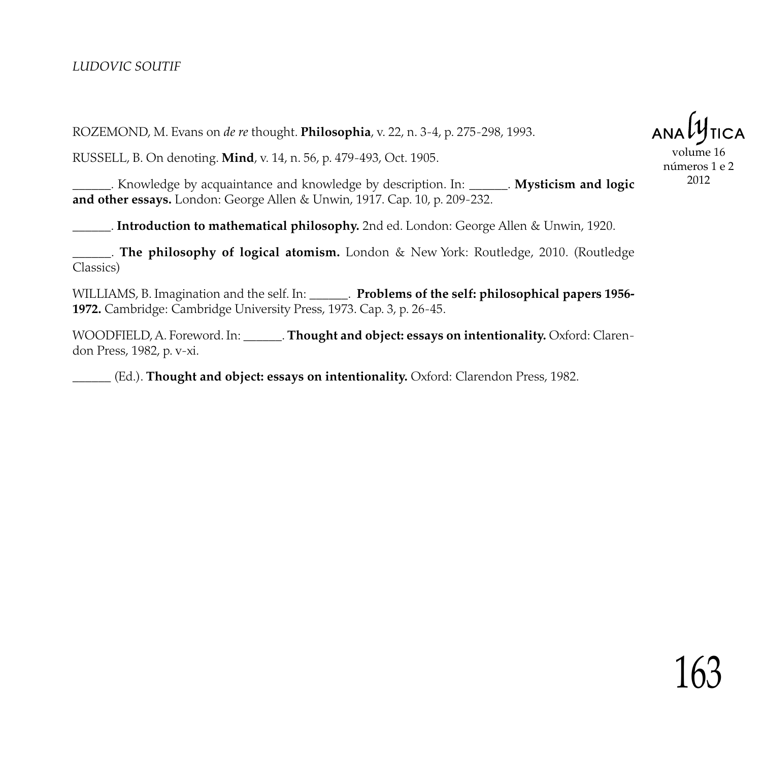Rozemond, M. Evans on *de re* thought. **Philosophia**, v. 22, n. 3-4, p. 275-298, 1993.

Russell, B. On denoting. **Mind**, v. 14, n. 56, p. 479-493, Oct. 1905.

\_\_\_\_\_\_. Knowledge by acquaintance and knowledge by description. In: \_\_\_\_\_\_. **Mysticism and logic and other essays.** London: George Allen & Unwin, 1917. Cap. 10, p. 209-232.

\_\_\_\_\_\_. **Introduction to mathematical philosophy.** 2nd ed. London: George Allen & Unwin, 1920.

\_\_\_\_\_\_. **The philosophy of logical atomism.** London & New York: Routledge, 2010. (Routledge Classics)

WILLIAMS, B. Imagination and the self. In: \_\_\_\_\_\_\_. **Problems of the self: philosophical papers 1956-1972.** Cambridge: Cambridge University Press, 1973. Cap. 3, p. 26-45.

WOODFIELD, A. Foreword. In: \_\_\_\_\_\_. **Thought and object: essays on intentionality.** Oxford: Clarendon Press, 1982, p. v-xi.

\_\_\_\_\_\_ (Ed.). **Thought and object: essays on intentionality.** Oxford: Clarendon Press, 1982.

volume 16 números 1 e 2 2012